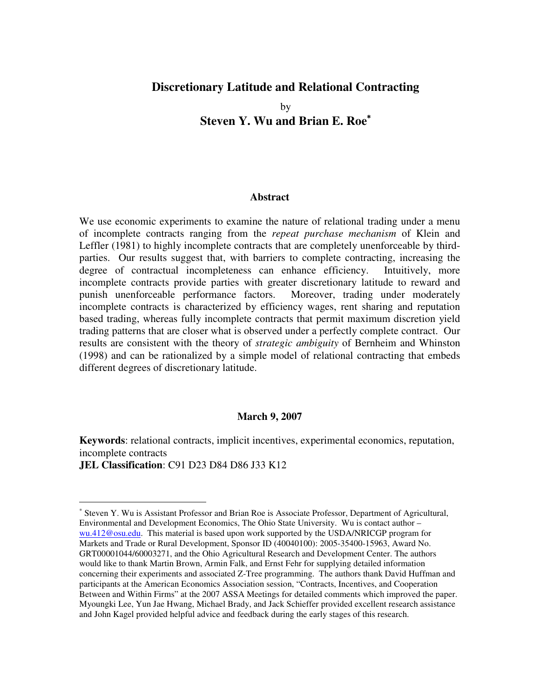# **Discretionary Latitude and Relational Contracting**

by **Steven Y. Wu and Brian E. Roe** ∗

#### **Abstract**

We use economic experiments to examine the nature of relational trading under a menu of incomplete contracts ranging from the *repeat purchase mechanism* of Klein and Leffler (1981) to highly incomplete contracts that are completely unenforceable by thirdparties. Our results suggest that, with barriers to complete contracting, increasing the degree of contractual incompleteness can enhance efficiency. Intuitively, more incomplete contracts provide parties with greater discretionary latitude to reward and punish unenforceable performance factors. Moreover, trading under moderately incomplete contracts is characterized by efficiency wages, rent sharing and reputation based trading, whereas fully incomplete contracts that permit maximum discretion yield trading patterns that are closer what is observed under a perfectly complete contract. Our results are consistent with the theory of *strategic ambiguity* of Bernheim and Whinston (1998) and can be rationalized by a simple model of relational contracting that embeds different degrees of discretionary latitude.

### **March 9, 2007**

**Keywords**: relational contracts, implicit incentives, experimental economics, reputation, incomplete contracts

**JEL Classification**: C91 D23 D84 D86 J33 K12

<sup>∗</sup> Steven Y. Wu is Assistant Professor and Brian Roe is Associate Professor, Department of Agricultural, Environmental and Development Economics, The Ohio State University. Wu is contact author – wu.412@osu.edu. This material is based upon work supported by the USDA/NRICGP program for Markets and Trade or Rural Development, Sponsor ID (40040100): 2005-35400-15963, Award No. GRT00001044/60003271, and the Ohio Agricultural Research and Development Center. The authors would like to thank Martin Brown, Armin Falk, and Ernst Fehr for supplying detailed information concerning their experiments and associated Z-Tree programming. The authors thank David Huffman and participants at the American Economics Association session, "Contracts, Incentives, and Cooperation Between and Within Firms" at the 2007 ASSA Meetings for detailed comments which improved the paper. Myoungki Lee, Yun Jae Hwang, Michael Brady, and Jack Schieffer provided excellent research assistance and John Kagel provided helpful advice and feedback during the early stages of this research.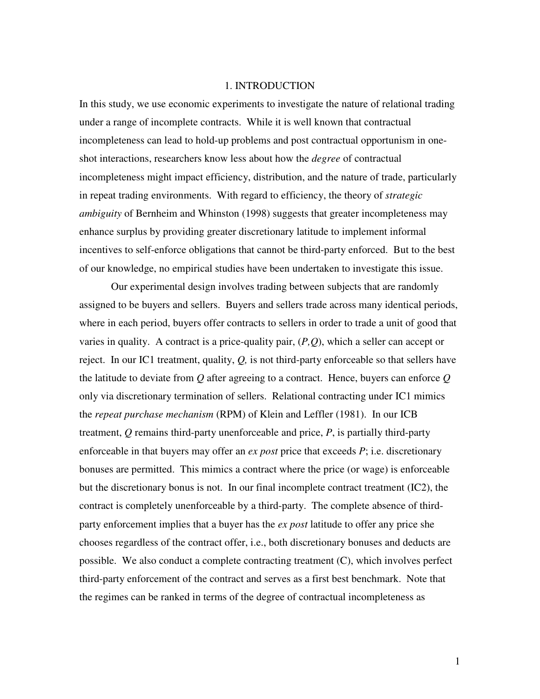### 1. INTRODUCTION

In this study, we use economic experiments to investigate the nature of relational trading under a range of incomplete contracts. While it is well known that contractual incompleteness can lead to hold-up problems and post contractual opportunism in oneshot interactions, researchers know less about how the *degree* of contractual incompleteness might impact efficiency, distribution, and the nature of trade, particularly in repeat trading environments. With regard to efficiency, the theory of *strategic ambiguity* of Bernheim and Whinston (1998) suggests that greater incompleteness may enhance surplus by providing greater discretionary latitude to implement informal incentives to self-enforce obligations that cannot be third-party enforced. But to the best of our knowledge, no empirical studies have been undertaken to investigate this issue.

Our experimental design involves trading between subjects that are randomly assigned to be buyers and sellers. Buyers and sellers trade across many identical periods, where in each period, buyers offer contracts to sellers in order to trade a unit of good that varies in quality. A contract is a price-quality pair, (*P,Q*), which a seller can accept or reject. In our IC1 treatment, quality, *Q,* is not third-party enforceable so that sellers have the latitude to deviate from *Q* after agreeing to a contract. Hence, buyers can enforce *Q* only via discretionary termination of sellers. Relational contracting under IC1 mimics the *repeat purchase mechanism* (RPM) of Klein and Leffler (1981). In our ICB treatment, *Q* remains third-party unenforceable and price, *P*, is partially third-party enforceable in that buyers may offer an *ex post* price that exceeds *P*; i.e. discretionary bonuses are permitted. This mimics a contract where the price (or wage) is enforceable but the discretionary bonus is not. In our final incomplete contract treatment (IC2), the contract is completely unenforceable by a third-party. The complete absence of thirdparty enforcement implies that a buyer has the *ex post* latitude to offer any price she chooses regardless of the contract offer, i.e., both discretionary bonuses and deducts are possible. We also conduct a complete contracting treatment (C), which involves perfect third-party enforcement of the contract and serves as a first best benchmark. Note that the regimes can be ranked in terms of the degree of contractual incompleteness as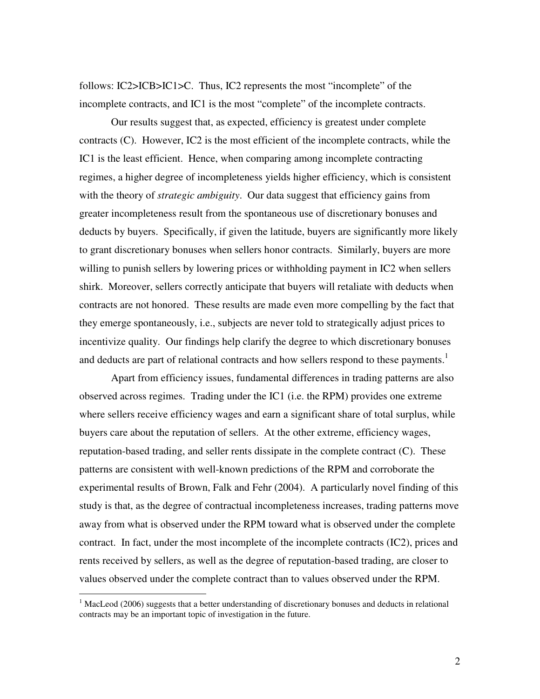follows: IC2>ICB>IC1>C. Thus, IC2 represents the most "incomplete" of the incomplete contracts, and IC1 is the most "complete" of the incomplete contracts.

Our results suggest that, as expected, efficiency is greatest under complete contracts (C). However, IC2 is the most efficient of the incomplete contracts, while the IC1 is the least efficient. Hence, when comparing among incomplete contracting regimes, a higher degree of incompleteness yields higher efficiency, which is consistent with the theory of *strategic ambiguity*. Our data suggest that efficiency gains from greater incompleteness result from the spontaneous use of discretionary bonuses and deducts by buyers. Specifically, if given the latitude, buyers are significantly more likely to grant discretionary bonuses when sellers honor contracts. Similarly, buyers are more willing to punish sellers by lowering prices or withholding payment in IC2 when sellers shirk. Moreover, sellers correctly anticipate that buyers will retaliate with deducts when contracts are not honored. These results are made even more compelling by the fact that they emerge spontaneously, i.e., subjects are never told to strategically adjust prices to incentivize quality. Our findings help clarify the degree to which discretionary bonuses and deducts are part of relational contracts and how sellers respond to these payments.<sup>1</sup>

Apart from efficiency issues, fundamental differences in trading patterns are also observed across regimes. Trading under the IC1 (i.e. the RPM) provides one extreme where sellers receive efficiency wages and earn a significant share of total surplus, while buyers care about the reputation of sellers. At the other extreme, efficiency wages, reputation-based trading, and seller rents dissipate in the complete contract (C). These patterns are consistent with well-known predictions of the RPM and corroborate the experimental results of Brown, Falk and Fehr (2004). A particularly novel finding of this study is that, as the degree of contractual incompleteness increases, trading patterns move away from what is observed under the RPM toward what is observed under the complete contract. In fact, under the most incomplete of the incomplete contracts (IC2), prices and rents received by sellers, as well as the degree of reputation-based trading, are closer to values observed under the complete contract than to values observed under the RPM.

<sup>&</sup>lt;sup>1</sup> MacLeod (2006) suggests that a better understanding of discretionary bonuses and deducts in relational contracts may be an important topic of investigation in the future.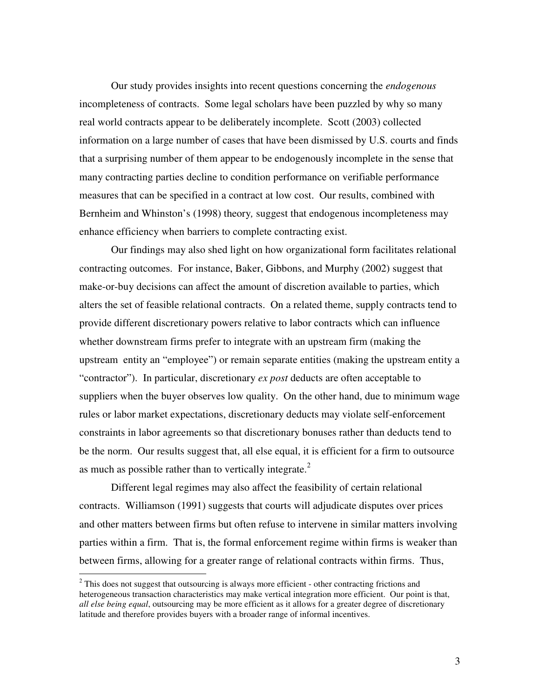Our study provides insights into recent questions concerning the *endogenous* incompleteness of contracts. Some legal scholars have been puzzled by why so many real world contracts appear to be deliberately incomplete. Scott (2003) collected information on a large number of cases that have been dismissed by U.S. courts and finds that a surprising number of them appear to be endogenously incomplete in the sense that many contracting parties decline to condition performance on verifiable performance measures that can be specified in a contract at low cost. Our results, combined with Bernheim and Whinston's (1998) theory*,* suggest that endogenous incompleteness may enhance efficiency when barriers to complete contracting exist.

Our findings may also shed light on how organizational form facilitates relational contracting outcomes. For instance, Baker, Gibbons, and Murphy (2002) suggest that make-or-buy decisions can affect the amount of discretion available to parties, which alters the set of feasible relational contracts. On a related theme, supply contracts tend to provide different discretionary powers relative to labor contracts which can influence whether downstream firms prefer to integrate with an upstream firm (making the upstream entity an "employee") or remain separate entities (making the upstream entity a "contractor"). In particular, discretionary *ex post* deducts are often acceptable to suppliers when the buyer observes low quality. On the other hand, due to minimum wage rules or labor market expectations, discretionary deducts may violate self-enforcement constraints in labor agreements so that discretionary bonuses rather than deducts tend to be the norm. Our results suggest that, all else equal, it is efficient for a firm to outsource as much as possible rather than to vertically integrate.<sup>2</sup>

Different legal regimes may also affect the feasibility of certain relational contracts. Williamson (1991) suggests that courts will adjudicate disputes over prices and other matters between firms but often refuse to intervene in similar matters involving parties within a firm. That is, the formal enforcement regime within firms is weaker than between firms, allowing for a greater range of relational contracts within firms. Thus,

<sup>&</sup>lt;sup>2</sup> This does not suggest that outsourcing is always more efficient - other contracting frictions and heterogeneous transaction characteristics may make vertical integration more efficient. Our point is that, *all else being equal*, outsourcing may be more efficient as it allows for a greater degree of discretionary latitude and therefore provides buyers with a broader range of informal incentives.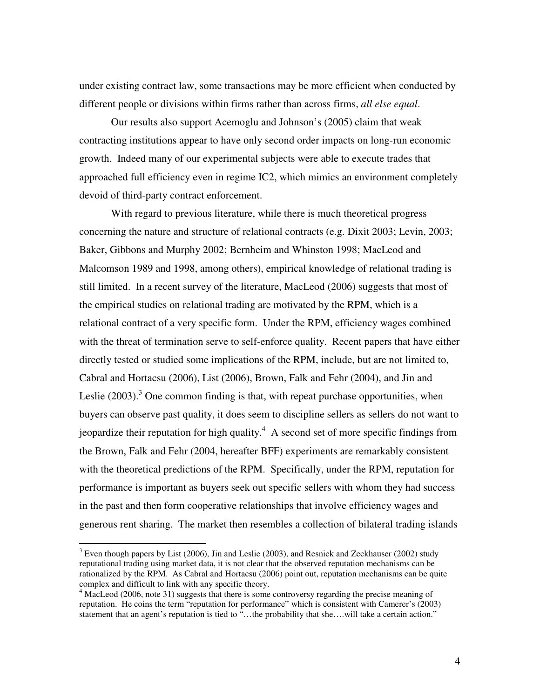under existing contract law, some transactions may be more efficient when conducted by different people or divisions within firms rather than across firms, *all else equal*.

Our results also support Acemoglu and Johnson's (2005) claim that weak contracting institutions appear to have only second order impacts on long-run economic growth. Indeed many of our experimental subjects were able to execute trades that approached full efficiency even in regime IC2, which mimics an environment completely devoid of third-party contract enforcement.

With regard to previous literature, while there is much theoretical progress concerning the nature and structure of relational contracts (e.g. Dixit 2003; Levin, 2003; Baker, Gibbons and Murphy 2002; Bernheim and Whinston 1998; MacLeod and Malcomson 1989 and 1998, among others), empirical knowledge of relational trading is still limited. In a recent survey of the literature, MacLeod (2006) suggests that most of the empirical studies on relational trading are motivated by the RPM, which is a relational contract of a very specific form. Under the RPM, efficiency wages combined with the threat of termination serve to self-enforce quality. Recent papers that have either directly tested or studied some implications of the RPM, include, but are not limited to, Cabral and Hortacsu (2006), List (2006), Brown, Falk and Fehr (2004), and Jin and Leslie (2003).<sup>3</sup> One common finding is that, with repeat purchase opportunities, when buyers can observe past quality, it does seem to discipline sellers as sellers do not want to jeopardize their reputation for high quality. <sup>4</sup> A second set of more specific findings from the Brown, Falk and Fehr (2004, hereafter BFF) experiments are remarkably consistent with the theoretical predictions of the RPM. Specifically, under the RPM, reputation for performance is important as buyers seek out specific sellers with whom they had success in the past and then form cooperative relationships that involve efficiency wages and generous rent sharing. The market then resembles a collection of bilateral trading islands

 $3$  Even though papers by List (2006), Jin and Leslie (2003), and Resnick and Zeckhauser (2002) study reputational trading using market data, it is not clear that the observed reputation mechanisms can be rationalized by the RPM. As Cabral and Hortacsu (2006) point out, reputation mechanisms can be quite complex and difficult to link with any specific theory.

<sup>&</sup>lt;sup>4</sup> MacLeod (2006, note 31) suggests that there is some controversy regarding the precise meaning of reputation. He coins the term "reputation for performance" which is consistent with Camerer's (2003) statement that an agent's reputation is tied to "…the probability that she….will take a certain action."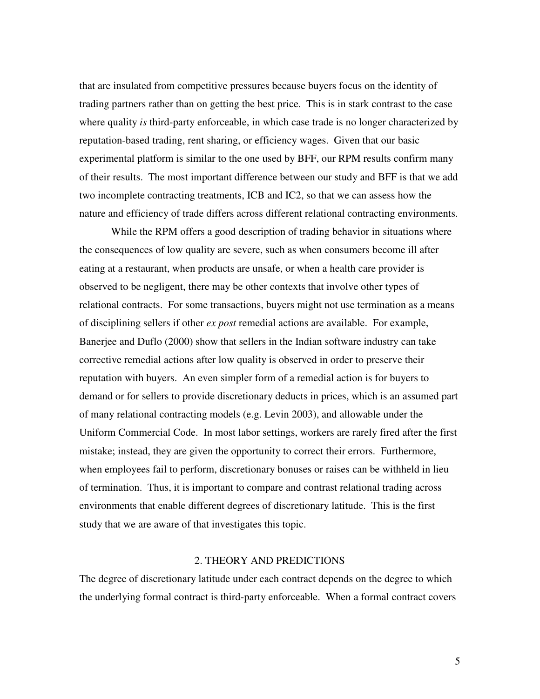that are insulated from competitive pressures because buyers focus on the identity of trading partners rather than on getting the best price. This is in stark contrast to the case where quality *is* third-party enforceable, in which case trade is no longer characterized by reputation-based trading, rent sharing, or efficiency wages. Given that our basic experimental platform is similar to the one used by BFF, our RPM results confirm many of their results. The most important difference between our study and BFF is that we add two incomplete contracting treatments, ICB and IC2, so that we can assess how the nature and efficiency of trade differs across different relational contracting environments.

While the RPM offers a good description of trading behavior in situations where the consequences of low quality are severe, such as when consumers become ill after eating at a restaurant, when products are unsafe, or when a health care provider is observed to be negligent, there may be other contexts that involve other types of relational contracts. For some transactions, buyers might not use termination as a means of disciplining sellers if other *ex post* remedial actions are available. For example, Banerjee and Duflo (2000) show that sellers in the Indian software industry can take corrective remedial actions after low quality is observed in order to preserve their reputation with buyers. An even simpler form of a remedial action is for buyers to demand or for sellers to provide discretionary deducts in prices, which is an assumed part of many relational contracting models (e.g. Levin 2003), and allowable under the Uniform Commercial Code. In most labor settings, workers are rarely fired after the first mistake; instead, they are given the opportunity to correct their errors. Furthermore, when employees fail to perform, discretionary bonuses or raises can be withheld in lieu of termination. Thus, it is important to compare and contrast relational trading across environments that enable different degrees of discretionary latitude. This is the first study that we are aware of that investigates this topic.

# 2. THEORY AND PREDICTIONS

The degree of discretionary latitude under each contract depends on the degree to which the underlying formal contract is third-party enforceable. When a formal contract covers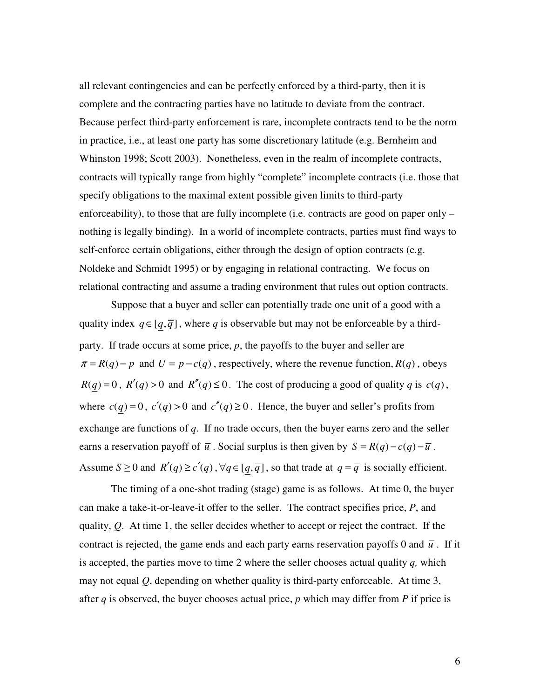all relevant contingencies and can be perfectly enforced by a third-party, then it is complete and the contracting parties have no latitude to deviate from the contract. Because perfect third-party enforcement is rare, incomplete contracts tend to be the norm in practice, i.e., at least one party has some discretionary latitude (e.g. Bernheim and Whinston 1998; Scott 2003). Nonetheless, even in the realm of incomplete contracts, contracts will typically range from highly "complete" incomplete contracts (i.e. those that specify obligations to the maximal extent possible given limits to third-party enforceability), to those that are fully incomplete (i.e. contracts are good on paper only – nothing is legally binding). In a world of incomplete contracts, parties must find ways to self-enforce certain obligations, either through the design of option contracts (e.g. Noldeke and Schmidt 1995) or by engaging in relational contracting. We focus on relational contracting and assume a trading environment that rules out option contracts.

Suppose that a buyer and seller can potentially trade one unit of a good with a quality index  $q \in [q, \overline{q}]$ , where *q* is observable but may not be enforceable by a thirdparty. If trade occurs at some price, *p*, the payoffs to the buyer and seller are  $\pi = R(q) - p$  and  $U = p - c(q)$ , respectively, where the revenue function,  $R(q)$ , obeys  $R(q) = 0$ ,  $R'(q) > 0$  and  $R''(q) \le 0$ . The cost of producing a good of quality *q* is  $c(q)$ , where  $c(q) = 0$ ,  $c'(q) > 0$  and  $c''(q) \ge 0$ . Hence, the buyer and seller's profits from exchange are functions of *q*. If no trade occurs, then the buyer earns zero and the seller earns a reservation payoff of  $\overline{u}$ . Social surplus is then given by  $S = R(q) - c(q) - \overline{u}$ . Assume  $S \ge 0$  and  $R'(q) \ge c'(q)$ ,  $\forall q \in [q, \overline{q}]$ , so that trade at  $q = \overline{q}$  is socially efficient.

The timing of a one-shot trading (stage) game is as follows. At time 0, the buyer can make a take-it-or-leave-it offer to the seller. The contract specifies price, *P*, and quality, *Q*. At time 1, the seller decides whether to accept or reject the contract. If the contract is rejected, the game ends and each party earns reservation payoffs 0 and  $\bar{u}$ . If it is accepted, the parties move to time 2 where the seller chooses actual quality *q,* which may not equal *Q*, depending on whether quality is third-party enforceable. At time 3, after *q* is observed, the buyer chooses actual price, *p* which may differ from *P* if price is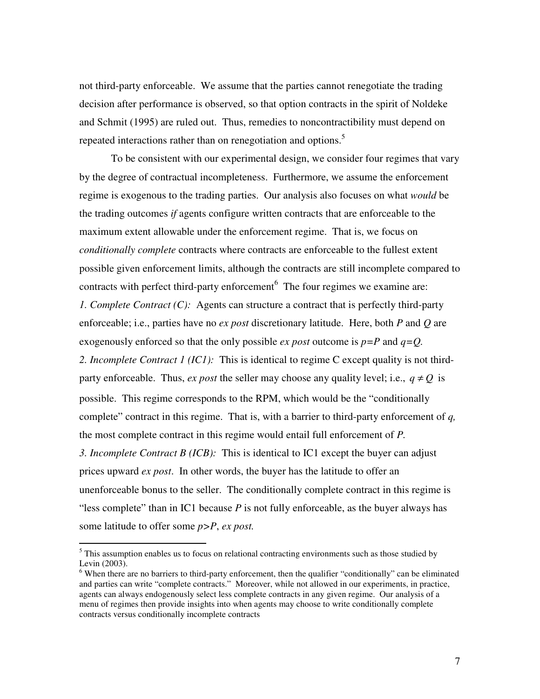not third-party enforceable. We assume that the parties cannot renegotiate the trading decision after performance is observed, so that option contracts in the spirit of Noldeke and Schmit (1995) are ruled out. Thus, remedies to noncontractibility must depend on repeated interactions rather than on renegotiation and options.<sup>5</sup>

To be consistent with our experimental design, we consider four regimes that vary by the degree of contractual incompleteness. Furthermore, we assume the enforcement regime is exogenous to the trading parties. Our analysis also focuses on what *would* be the trading outcomes *if* agents configure written contracts that are enforceable to the maximum extent allowable under the enforcement regime. That is, we focus on *conditionally complete* contracts where contracts are enforceable to the fullest extent possible given enforcement limits, although the contracts are still incomplete compared to contracts with perfect third-party enforcement<sup>6</sup> The four regimes we examine are: *1. Complete Contract (C):* Agents can structure a contract that is perfectly third-party enforceable; i.e., parties have no *ex post* discretionary latitude. Here, both *P* and *Q* are exogenously enforced so that the only possible *ex post* outcome is *p=P* and *q=Q. 2. Incomplete Contract 1 (IC1):* This is identical to regime C except quality is not thirdparty enforceable. Thus, *ex post* the seller may choose any quality level; i.e.,  $q \neq Q$  is possible. This regime corresponds to the RPM, which would be the "conditionally complete" contract in this regime. That is, with a barrier to third-party enforcement of *q,* the most complete contract in this regime would entail full enforcement of *P. 3. Incomplete Contract B (ICB):* This is identical to IC1 except the buyer can adjust prices upward *ex post*. In other words, the buyer has the latitude to offer an unenforceable bonus to the seller. The conditionally complete contract in this regime is "less complete" than in IC1 because *P* is not fully enforceable, as the buyer always has some latitude to offer some *p>P*, *ex post.*

 $<sup>5</sup>$  This assumption enables us to focus on relational contracting environments such as those studied by</sup> Levin (2003).

<sup>&</sup>lt;sup>6</sup> When there are no barriers to third-party enforcement, then the qualifier "conditionally" can be eliminated and parties can write "complete contracts." Moreover, while not allowed in our experiments, in practice, agents can always endogenously select less complete contracts in any given regime. Our analysis of a menu of regimes then provide insights into when agents may choose to write conditionally complete contracts versus conditionally incomplete contracts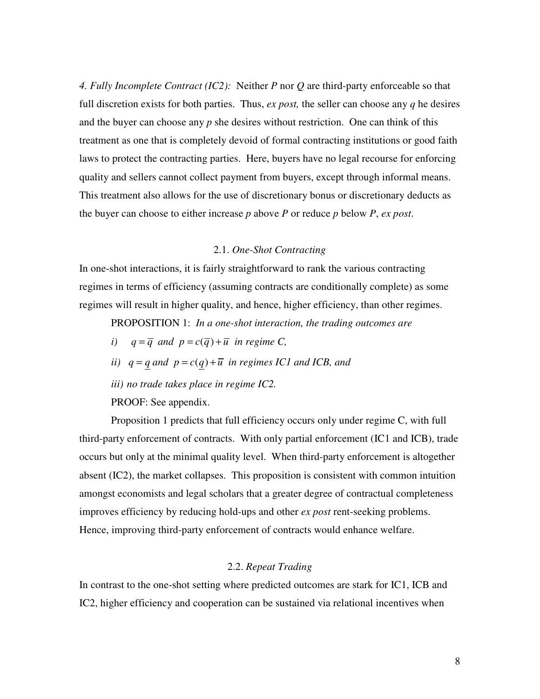*4. Fully Incomplete Contract (IC2):* Neither *P* nor *Q* are third-party enforceable so that full discretion exists for both parties. Thus, *ex post,* the seller can choose any *q* he desires and the buyer can choose any *p* she desires without restriction. One can think of this treatment as one that is completely devoid of formal contracting institutions or good faith laws to protect the contracting parties. Here, buyers have no legal recourse for enforcing quality and sellers cannot collect payment from buyers, except through informal means. This treatment also allows for the use of discretionary bonus or discretionary deducts as the buyer can choose to either increase *p* above *P* or reduce *p* below *P*, *ex post*.

## 2.1. *One-Shot Contracting*

In one-shot interactions, it is fairly straightforward to rank the various contracting regimes in terms of efficiency (assuming contracts are conditionally complete) as some regimes will result in higher quality, and hence, higher efficiency, than other regimes.

PROPOSITION 1: *In a one-shot interaction, the trading outcomes are*

- *i*)  $q = \overline{q}$  *and*  $p = c(\overline{q}) + \overline{u}$  *in regime C,*
- *ii*)  $q = q$  *and*  $p = c(q) + \overline{u}$  *in regimes IC1 and ICB, and*
- *iii) no trade takes place in regime IC2.*

PROOF: See appendix.

Proposition 1 predicts that full efficiency occurs only under regime C, with full third-party enforcement of contracts. With only partial enforcement (IC1 and ICB), trade occurs but only at the minimal quality level. When third-party enforcement is altogether absent (IC2), the market collapses. This proposition is consistent with common intuition amongst economists and legal scholars that a greater degree of contractual completeness improves efficiency by reducing hold-ups and other *ex post* rent-seeking problems. Hence, improving third-party enforcement of contracts would enhance welfare.

# 2.2. *Repeat Trading*

In contrast to the one-shot setting where predicted outcomes are stark for IC1, ICB and IC2, higher efficiency and cooperation can be sustained via relational incentives when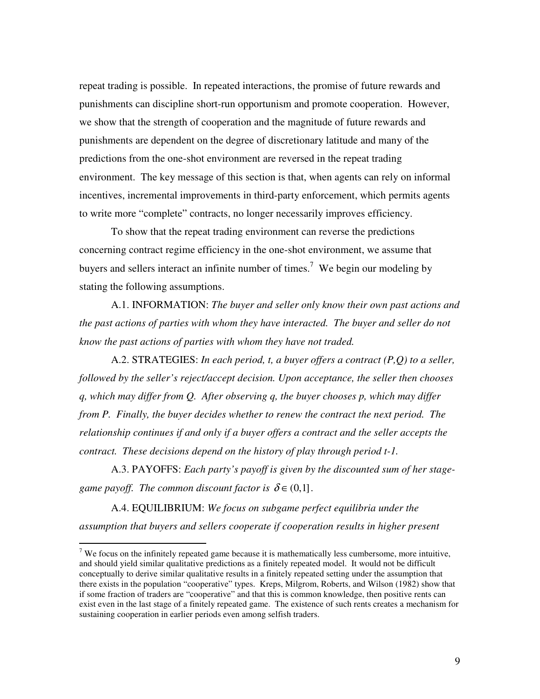repeat trading is possible. In repeated interactions, the promise of future rewards and punishments can discipline short-run opportunism and promote cooperation. However, we show that the strength of cooperation and the magnitude of future rewards and punishments are dependent on the degree of discretionary latitude and many of the predictions from the one-shot environment are reversed in the repeat trading environment. The key message of this section is that, when agents can rely on informal incentives, incremental improvements in third-party enforcement, which permits agents to write more "complete" contracts, no longer necessarily improves efficiency.

To show that the repeat trading environment can reverse the predictions concerning contract regime efficiency in the one-shot environment, we assume that buyers and sellers interact an infinite number of times.<sup>7</sup> We begin our modeling by stating the following assumptions.

A.1. INFORMATION: *The buyer and seller only know their own past actions and the past actions of parties with whom they have interacted. The buyer and seller do not know the past actions of parties with whom they have not traded.*

A.2. STRATEGIES: *In each period, t, a buyer offers a contract (P,Q) to a seller, followed by the seller's reject/accept decision. Upon acceptance, the seller then chooses q, which may differ from Q. After observing q, the buyer chooses p, which may differ from P. Finally, the buyer decides whether to renew the contract the next period. The relationship continues if and only if a buyer offers a contract and the seller accepts the contract. These decisions depend on the history of play through period t-1.*

A.3. PAYOFFS: *Each party's payoff is given by the discounted sum of her stagegame payoff. The common discount factor is*  $\delta \in (0,1]$ *.* 

A.4. EQUILIBRIUM: *We focus on subgame perfect equilibria under the assumption that buyers and sellers cooperate if cooperation results in higher present*

<sup>&</sup>lt;sup>7</sup> We focus on the infinitely repeated game because it is mathematically less cumbersome, more intuitive, and should yield similar qualitative predictions as a finitely repeated model. It would not be difficult conceptually to derive similar qualitative results in a finitely repeated setting under the assumption that there exists in the population "cooperative" types. Kreps, Milgrom, Roberts, and Wilson (1982) show that if some fraction of traders are "cooperative" and that this is common knowledge, then positive rents can exist even in the last stage of a finitely repeated game. The existence of such rents creates a mechanism for sustaining cooperation in earlier periods even among selfish traders.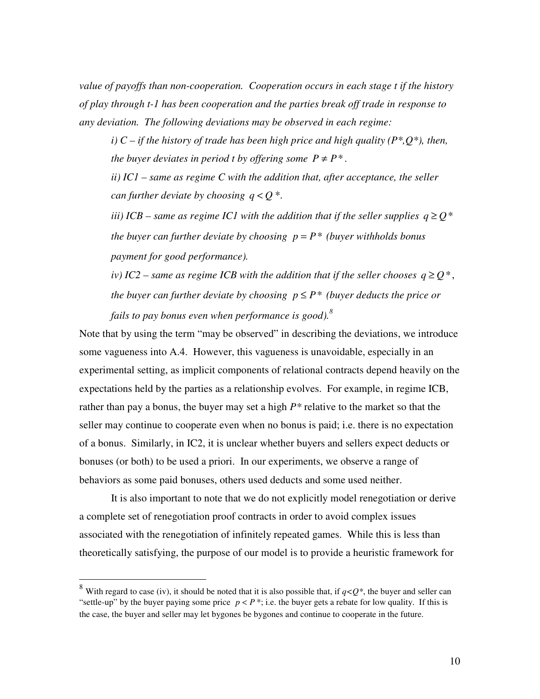*value of payoffs than non-cooperation. Cooperation occurs in each stage t if the history of play through t-1 has been cooperation and the parties break off trade in response to any deviation. The following deviations may be observed in each regime:*

*i) C – if the history of trade has been high price and high quality (P\*,Q\*), then, the buyer deviates in period t by offering some*  $P \neq P^*$ *.* 

*ii) IC1 – same as regime C with the addition that, after acceptance, the seller can further deviate by choosing*  $q < 0$ <sup>\*</sup>.

*iii*) *ICB* – *same as regime IC1* with the *addition* that *if* the *seller supplies*  $q \ge Q^*$ *the buyer can further deviate by choosing*  $p = P^*$  *(buyer withholds bonus payment for good performance).*

*iv*) *IC2* – *same as regime ICB with the addition that if the seller chooses*  $q \geq Q^*$ , *the buyer can further deviate by choosing*  $p \leq P^*$  *(buyer deducts the price or fails to pay bonus even when performance is good). 8*

Note that by using the term "may be observed" in describing the deviations, we introduce some vagueness into A.4. However, this vagueness is unavoidable, especially in an experimental setting, as implicit components of relational contracts depend heavily on the expectations held by the parties as a relationship evolves. For example, in regime ICB, rather than pay a bonus, the buyer may set a high *P\** relative to the market so that the seller may continue to cooperate even when no bonus is paid; i.e. there is no expectation of a bonus. Similarly, in IC2, it is unclear whether buyers and sellers expect deducts or bonuses (or both) to be used a priori. In our experiments, we observe a range of behaviors as some paid bonuses, others used deducts and some used neither.

It is also important to note that we do not explicitly model renegotiation or derive a complete set of renegotiation proof contracts in order to avoid complex issues associated with the renegotiation of infinitely repeated games. While this is less than theoretically satisfying, the purpose of our model is to provide a heuristic framework for

<sup>&</sup>lt;sup>8</sup> With regard to case (iv), it should be noted that it is also possible that, if  $q < Q^*$ , the buyer and seller can "settle-up" by the buyer paying some price  $p < P^*$ ; i.e. the buyer gets a rebate for low quality. If this is the case, the buyer and seller may let bygones be bygones and continue to cooperate in the future.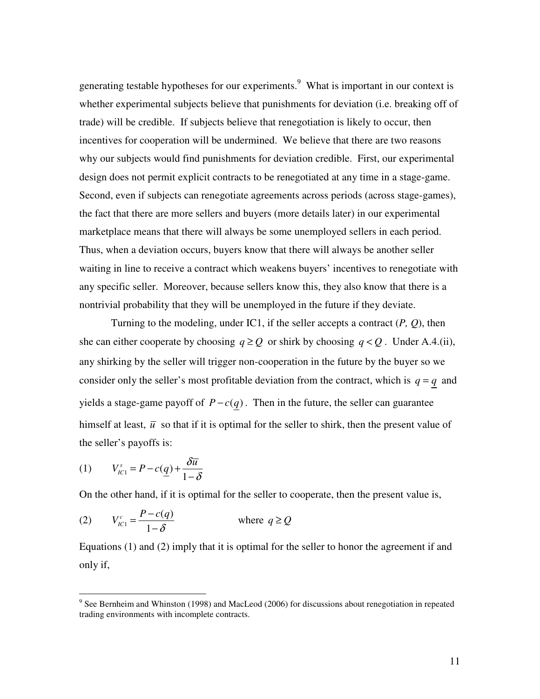generating testable hypotheses for our experiments.<sup>9</sup> What is important in our context is whether experimental subjects believe that punishments for deviation (i.e. breaking off of trade) will be credible. If subjects believe that renegotiation is likely to occur, then incentives for cooperation will be undermined. We believe that there are two reasons why our subjects would find punishments for deviation credible. First, our experimental design does not permit explicit contracts to be renegotiated at any time in a stage-game. Second, even if subjects can renegotiate agreements across periods (across stage-games), the fact that there are more sellers and buyers (more details later) in our experimental marketplace means that there will always be some unemployed sellers in each period. Thus, when a deviation occurs, buyers know that there will always be another seller waiting in line to receive a contract which weakens buyers' incentives to renegotiate with any specific seller. Moreover, because sellers know this, they also know that there is a nontrivial probability that they will be unemployed in the future if they deviate.

Turning to the modeling, under IC1, if the seller accepts a contract  $(P, Q)$ , then she can either cooperate by choosing  $q \ge Q$  or shirk by choosing  $q < Q$ . Under A.4.(ii), any shirking by the seller will trigger non-cooperation in the future by the buyer so we consider only the seller's most profitable deviation from the contract, which is  $q = q$  and yields a stage-game payoff of  $P - c(q)$ . Then in the future, the seller can guarantee himself at least,  $\bar{u}$  so that if it is optimal for the seller to shirk, then the present value of the seller's payoffs is:

$$
(1) \qquad V_{IC1}^s = P - c(\underline{q}) + \frac{\delta \overline{u}}{1 - \delta}
$$

On the other hand, if it is optimal for the seller to cooperate, then the present value is,

(2) 
$$
V_{IC1}^c = \frac{P - c(q)}{1 - \delta}
$$
 where  $q \ge Q$ 

Equations (1) and (2) imply that it is optimal for the seller to honor the agreement if and only if,

 $9$  See Bernheim and Whinston (1998) and MacLeod (2006) for discussions about renegotiation in repeated trading environments with incomplete contracts.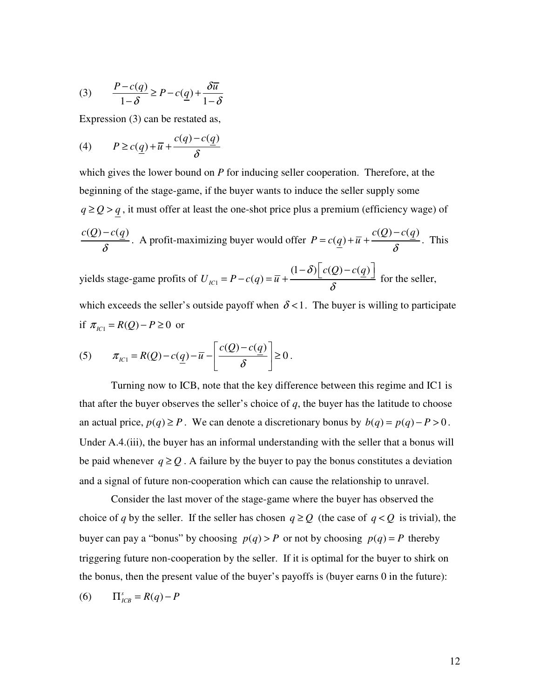$$
(3) \qquad \frac{P - c(q)}{1 - \delta} \ge P - c(q) + \frac{\delta \overline{u}}{1 - \delta}
$$

Expression (3) can be restated as,

(4) 
$$
P \ge c(\underline{q}) + \overline{u} + \frac{c(q) - c(\underline{q})}{\delta}
$$

which gives the lower bound on *P* for inducing seller cooperation. Therefore, at the beginning of the stage-game, if the buyer wants to induce the seller supply some  $q \geq Q > q$ , it must offer at least the one-shot price plus a premium (efficiency wage) of  $c(Q) - c(q)$ δ − . A profit-maximizing buyer would offer  $(Q)-c(q)$  $(q)$  $c(Q) - c(q)$  $P = c(q) + \overline{u} + \frac{\overline{u} + \overline{v}}{\delta}$ −  $=c(q) + \overline{u} + \frac{\overline{u} + \overline{u} + \overline{u} + \overline{u} + \overline{u}}{s}$ . This yields stage-game profits of  $U_{\textit{\tiny{IC1}}}$  $(1-\delta)$   $c(Q)-c(q)$  $_{IC1} = P - c(q)$  $c(Q) - c(q)$  $U_{IC1} = P - c(q) = \bar{u}$ δ δ  $= P - c(q) = \overline{u} + \frac{(1-\delta)\left[c(Q) - c(q)\right]}{s}$  for the seller,

which exceeds the seller's outside payoff when  $\delta$  < 1. The buyer is willing to participate if  $\pi_{IC1} = R(Q) - P \ge 0$  or

$$
(5) \qquad \pi_{IC1} = R(Q) - c(q) - \overline{u} - \left[ \frac{c(Q) - c(q)}{\delta} \right] \ge 0.
$$

Turning now to ICB, note that the key difference between this regime and IC1 is that after the buyer observes the seller's choice of *q*, the buyer has the latitude to choose an actual price,  $p(q) \ge P$ . We can denote a discretionary bonus by  $b(q) = p(q) - P > 0$ . Under A.4.(iii), the buyer has an informal understanding with the seller that a bonus will be paid whenever  $q \geq Q$ . A failure by the buyer to pay the bonus constitutes a deviation and a signal of future non-cooperation which can cause the relationship to unravel.

Consider the last mover of the stage-game where the buyer has observed the choice of *q* by the seller. If the seller has chosen  $q \ge Q$  (the case of  $q < Q$  is trivial), the buyer can pay a "bonus" by choosing  $p(q) > P$  or not by choosing  $p(q) = P$  thereby triggering future non-cooperation by the seller. If it is optimal for the buyer to shirk on the bonus, then the present value of the buyer's payoffs is (buyer earns 0 in the future):

$$
(6) \qquad \Pi_{ICB}^s = R(q) - P
$$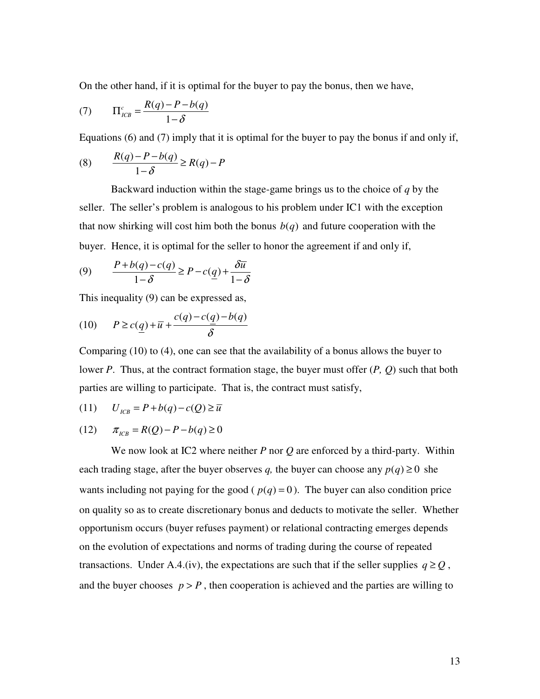On the other hand, if it is optimal for the buyer to pay the bonus, then we have,

$$
(7) \qquad \Pi_{ICB}^c = \frac{R(q) - P - b(q)}{1 - \delta}
$$

Equations (6) and (7) imply that it is optimal for the buyer to pay the bonus if and only if,

$$
(8) \qquad \frac{R(q) - P - b(q)}{1 - \delta} \ge R(q) - P
$$

Backward induction within the stage-game brings us to the choice of *q* by the seller. The seller's problem is analogous to his problem under IC1 with the exception that now shirking will cost him both the bonus  $b(q)$  and future cooperation with the buyer. Hence, it is optimal for the seller to honor the agreement if and only if,

(9) 
$$
\frac{P+b(q)-c(q)}{1-\delta} \ge P-c(\underline{q})+\frac{\delta \overline{u}}{1-\delta}
$$

This inequality (9) can be expressed as,

$$
(10) \qquad P \ge c(\underline{q}) + \overline{u} + \frac{c(q) - c(\underline{q}) - b(q)}{\delta}
$$

Comparing (10) to (4), one can see that the availability of a bonus allows the buyer to lower *P*. Thus, at the contract formation stage, the buyer must offer (*P, Q*) such that both parties are willing to participate. That is, the contract must satisfy,

$$
(11) \qquad U_{\text{ICB}} = P + b(q) - c(Q) \ge \overline{u}
$$

(12) 
$$
\pi_{ICB} = R(Q) - P - b(q) \ge 0
$$

We now look at IC2 where neither *P* nor *Q* are enforced by a third-party. Within each trading stage, after the buyer observes *q*, the buyer can choose any  $p(q) \ge 0$  she wants including not paying for the good ( $p(q) = 0$ ). The buyer can also condition price on quality so as to create discretionary bonus and deducts to motivate the seller. Whether opportunism occurs (buyer refuses payment) or relational contracting emerges depends on the evolution of expectations and norms of trading during the course of repeated transactions. Under A.4.(iv), the expectations are such that if the seller supplies  $q \geq Q$ , and the buyer chooses  $p > P$ , then cooperation is achieved and the parties are willing to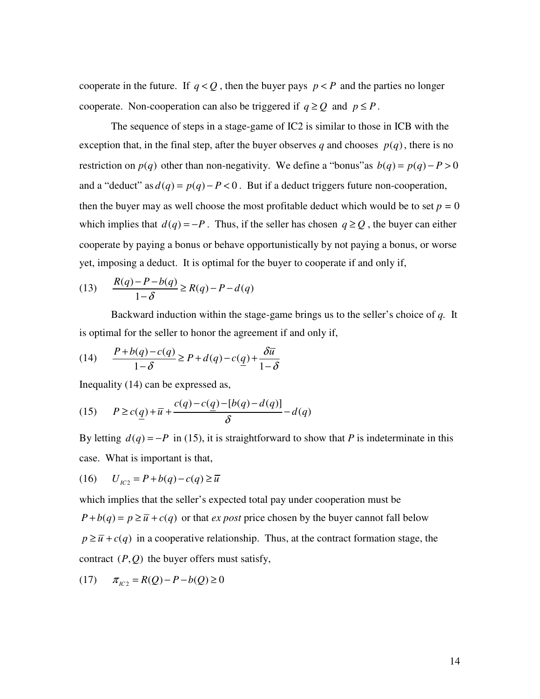cooperate in the future. If  $q < Q$ , then the buyer pays  $p < P$  and the parties no longer cooperate. Non-cooperation can also be triggered if  $q \ge Q$  and  $p \le P$ .

The sequence of steps in a stage-game of IC2 is similar to those in ICB with the exception that, in the final step, after the buyer observes *q* and chooses  $p(q)$ , there is no restriction on  $p(q)$  other than non-negativity. We define a "bonus" as  $b(q) = p(q) - P > 0$ and a "deduct" as  $d(q) = p(q) - P < 0$ . But if a deduct triggers future non-cooperation, then the buyer may as well choose the most profitable deduct which would be to set  $p = 0$ which implies that  $d(q) = -P$ . Thus, if the seller has chosen  $q \ge Q$ , the buyer can either cooperate by paying a bonus or behave opportunistically by not paying a bonus, or worse yet, imposing a deduct. It is optimal for the buyer to cooperate if and only if,

(13) 
$$
\frac{R(q)-P-b(q)}{1-\delta} \ge R(q)-P-d(q)
$$

Backward induction within the stage-game brings us to the seller's choice of *q.* It is optimal for the seller to honor the agreement if and only if,

(14) 
$$
\frac{P+b(q)-c(q)}{1-\delta} \ge P+d(q)-c(q)+\frac{\delta \overline{u}}{1-\delta}
$$

Inequality (14) can be expressed as,

(15) 
$$
P \ge c(\underline{q}) + \overline{u} + \frac{c(q) - c(\underline{q}) - [b(q) - d(q)]}{\delta} - d(q)
$$

By letting  $d(q) = -P$  in (15), it is straightforward to show that *P* is indeterminate in this case. What is important is that,

$$
(16) \qquad U_{1C2} = P + b(q) - c(q) \ge \overline{u}
$$

which implies that the seller's expected total pay under cooperation must be  $P + b(q) = p \ge \overline{u} + c(q)$  or that *ex post* price chosen by the buyer cannot fall below  $p \geq \overline{u} + c(q)$  in a cooperative relationship. Thus, at the contract formation stage, the contract (*P*,*Q*) the buyer offers must satisfy,

$$
(17) \qquad \pi_{_{IC2}} = R(Q) - P - b(Q) \ge 0
$$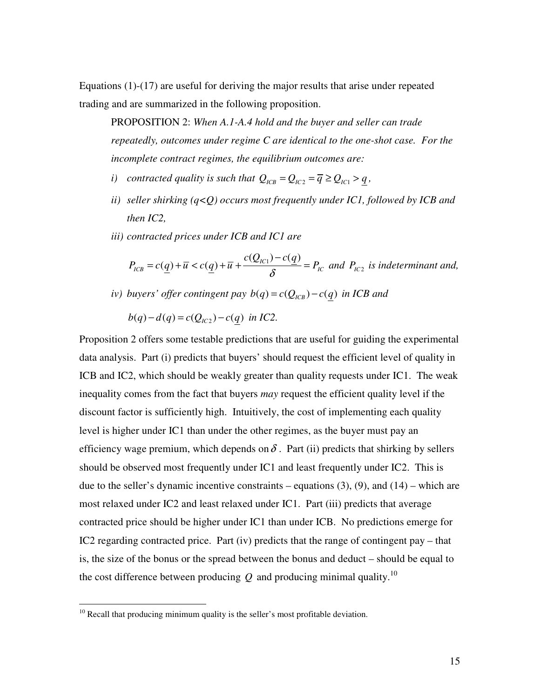Equations (1)-(17) are useful for deriving the major results that arise under repeated trading and are summarized in the following proposition.

PROPOSITION 2: *When A.1-A.4 hold and the buyer and seller can trade repeatedly, outcomes under regime C are identical to the one-shot case. For the incomplete contract regimes, the equilibrium outcomes are:*

- *i*) *contracted quality is such that*  $Q_{ICB} = Q_{IC2} = \overline{q} \geq Q_{IC1} > q$ ,
- *ii) seller shirking (q<Q) occurs most frequently under IC1, followed by ICB and then IC2,*
- *iii) contracted prices under ICB and IC1 are*

 $(Q_{lC1}) - c(q)$  $(q) + \overline{u} < c(q) + \overline{u} + \frac{c(g_R)}{g}$  $ICB = C(\underline{q}) + u \times C(\underline{q}) + u$   $\qquad \qquad \infty$   $-IIC$  $c(Q_{lC1}) - c(q)$  $P_{ICB} = c(q) + \overline{u} < c(q) + \overline{u} + \frac{\overline{v} + \overline{v}}{g} = P_i$ −  $= c(q) + \overline{u} < c(q) + \overline{u} + \frac{\overline{u}(q)}{s} = P_{1c}$  and  $P_{1c}$  is indeterminant and,

*iv*) *buyers' offer contingent pay*  $b(q) = c(Q_{ICB}) - c(q)$  *in ICB and* 

$$
b(q) - d(q) = c(Q_{1C2}) - c(q) \text{ in IC2.}
$$

Proposition 2 offers some testable predictions that are useful for guiding the experimental data analysis. Part (i) predicts that buyers' should request the efficient level of quality in ICB and IC2, which should be weakly greater than quality requests under IC1. The weak inequality comes from the fact that buyers *may* request the efficient quality level if the discount factor is sufficiently high. Intuitively, the cost of implementing each quality level is higher under IC1 than under the other regimes, as the buyer must pay an efficiency wage premium, which depends on  $\delta$ . Part (ii) predicts that shirking by sellers should be observed most frequently under IC1 and least frequently under IC2. This is due to the seller's dynamic incentive constraints – equations  $(3)$ ,  $(9)$ , and  $(14)$  – which are most relaxed under IC2 and least relaxed under IC1. Part (iii) predicts that average contracted price should be higher under IC1 than under ICB. No predictions emerge for IC2 regarding contracted price. Part (iv) predicts that the range of contingent pay – that is, the size of the bonus or the spread between the bonus and deduct – should be equal to the cost difference between producing  $Q$  and producing minimal quality.<sup>10</sup>

<sup>&</sup>lt;sup>10</sup> Recall that producing minimum quality is the seller's most profitable deviation.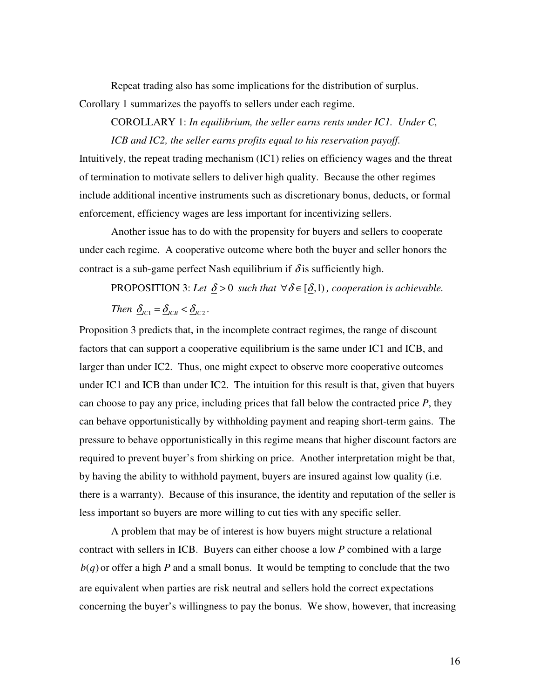Repeat trading also has some implications for the distribution of surplus. Corollary 1 summarizes the payoffs to sellers under each regime.

COROLLARY 1: *In equilibrium, the seller earns rents under IC1. Under C, ICB and IC2, the seller earns profits equal to his reservation payoff.*

Intuitively, the repeat trading mechanism (IC1) relies on efficiency wages and the threat of termination to motivate sellers to deliver high quality. Because the other regimes include additional incentive instruments such as discretionary bonus, deducts, or formal enforcement, efficiency wages are less important for incentivizing sellers.

Another issue has to do with the propensity for buyers and sellers to cooperate under each regime. A cooperative outcome where both the buyer and seller honors the contract is a sub-game perfect Nash equilibrium if  $\delta$  is sufficiently high.

PROPOSITION 3: Let  $\delta > 0$  *such that*  $\forall \delta \in [\delta, 1]$ , *cooperation is achievable. Then*  $\underline{\delta}_{IC1} = \underline{\delta}_{ICB} < \underline{\delta}_{IC2}$ .

Proposition 3 predicts that, in the incomplete contract regimes, the range of discount factors that can support a cooperative equilibrium is the same under IC1 and ICB, and larger than under IC2. Thus, one might expect to observe more cooperative outcomes under IC1 and ICB than under IC2. The intuition for this result is that, given that buyers can choose to pay any price, including prices that fall below the contracted price *P*, they can behave opportunistically by withholding payment and reaping short-term gains. The pressure to behave opportunistically in this regime means that higher discount factors are required to prevent buyer's from shirking on price. Another interpretation might be that, by having the ability to withhold payment, buyers are insured against low quality (i.e. there is a warranty). Because of this insurance, the identity and reputation of the seller is less important so buyers are more willing to cut ties with any specific seller.

A problem that may be of interest is how buyers might structure a relational contract with sellers in ICB. Buyers can either choose a low *P* combined with a large  $b(q)$  or offer a high *P* and a small bonus. It would be tempting to conclude that the two are equivalent when parties are risk neutral and sellers hold the correct expectations concerning the buyer's willingness to pay the bonus. We show, however, that increasing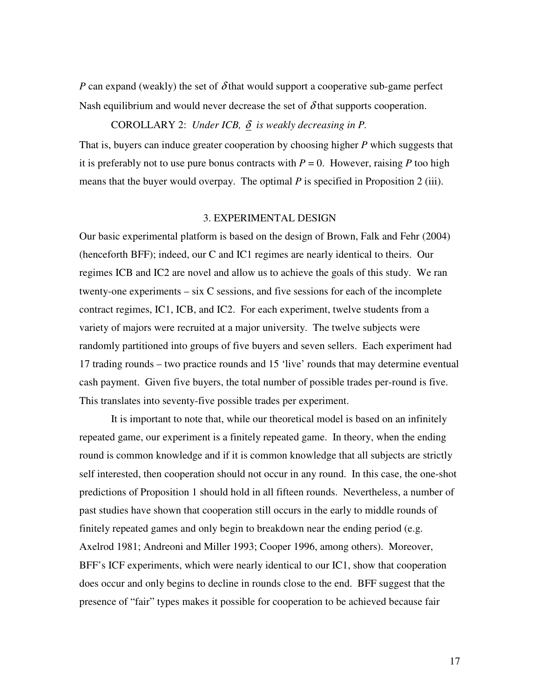*P* can expand (weakly) the set of  $\delta$  that would support a cooperative sub-game perfect Nash equilibrium and would never decrease the set of  $\delta$  that supports cooperation.

## COROLLARY 2: *Under ICB,*  $\delta$  *is weakly decreasing in P.*

That is, buyers can induce greater cooperation by choosing higher *P* which suggests that it is preferably not to use pure bonus contracts with  $P = 0$ . However, raising P too high means that the buyer would overpay. The optimal *P* is specified in Proposition 2 (iii).

## 3. EXPERIMENTAL DESIGN

Our basic experimental platform is based on the design of Brown, Falk and Fehr (2004) (henceforth BFF); indeed, our C and IC1 regimes are nearly identical to theirs. Our regimes ICB and IC2 are novel and allow us to achieve the goals of this study. We ran twenty-one experiments – six C sessions, and five sessions for each of the incomplete contract regimes, IC1, ICB, and IC2. For each experiment, twelve students from a variety of majors were recruited at a major university. The twelve subjects were randomly partitioned into groups of five buyers and seven sellers. Each experiment had 17 trading rounds – two practice rounds and 15 'live' rounds that may determine eventual cash payment. Given five buyers, the total number of possible trades per-round is five. This translates into seventy-five possible trades per experiment.

It is important to note that, while our theoretical model is based on an infinitely repeated game, our experiment is a finitely repeated game. In theory, when the ending round is common knowledge and if it is common knowledge that all subjects are strictly self interested, then cooperation should not occur in any round. In this case, the one-shot predictions of Proposition 1 should hold in all fifteen rounds. Nevertheless, a number of past studies have shown that cooperation still occurs in the early to middle rounds of finitely repeated games and only begin to breakdown near the ending period (e.g. Axelrod 1981; Andreoni and Miller 1993; Cooper 1996, among others). Moreover, BFF's ICF experiments, which were nearly identical to our IC1, show that cooperation does occur and only begins to decline in rounds close to the end. BFF suggest that the presence of "fair" types makes it possible for cooperation to be achieved because fair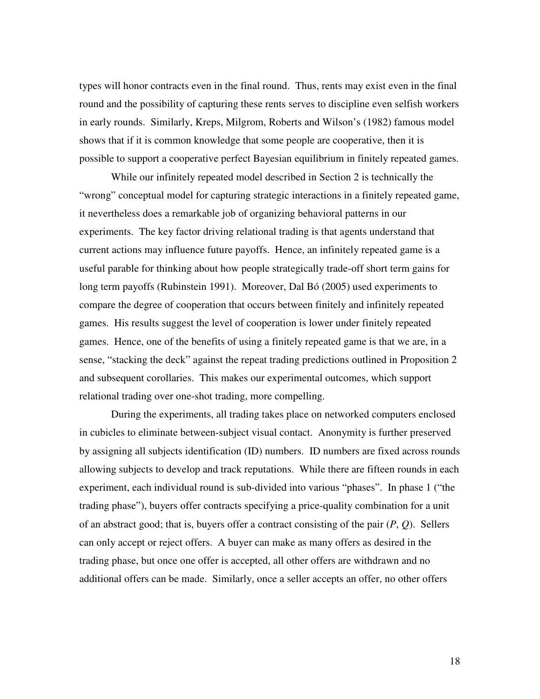types will honor contracts even in the final round. Thus, rents may exist even in the final round and the possibility of capturing these rents serves to discipline even selfish workers in early rounds. Similarly, Kreps, Milgrom, Roberts and Wilson's (1982) famous model shows that if it is common knowledge that some people are cooperative, then it is possible to support a cooperative perfect Bayesian equilibrium in finitely repeated games.

While our infinitely repeated model described in Section 2 is technically the "wrong" conceptual model for capturing strategic interactions in a finitely repeated game, it nevertheless does a remarkable job of organizing behavioral patterns in our experiments. The key factor driving relational trading is that agents understand that current actions may influence future payoffs. Hence, an infinitely repeated game is a useful parable for thinking about how people strategically trade-off short term gains for long term payoffs (Rubinstein 1991). Moreover, Dal Bó (2005) used experiments to compare the degree of cooperation that occurs between finitely and infinitely repeated games. His results suggest the level of cooperation is lower under finitely repeated games. Hence, one of the benefits of using a finitely repeated game is that we are, in a sense, "stacking the deck" against the repeat trading predictions outlined in Proposition 2 and subsequent corollaries. This makes our experimental outcomes, which support relational trading over one-shot trading, more compelling.

During the experiments, all trading takes place on networked computers enclosed in cubicles to eliminate between-subject visual contact. Anonymity is further preserved by assigning all subjects identification (ID) numbers. ID numbers are fixed across rounds allowing subjects to develop and track reputations. While there are fifteen rounds in each experiment, each individual round is sub-divided into various "phases". In phase 1 ("the trading phase"), buyers offer contracts specifying a price-quality combination for a unit of an abstract good; that is, buyers offer a contract consisting of the pair (*P*, *Q*). Sellers can only accept or reject offers. A buyer can make as many offers as desired in the trading phase, but once one offer is accepted, all other offers are withdrawn and no additional offers can be made. Similarly, once a seller accepts an offer, no other offers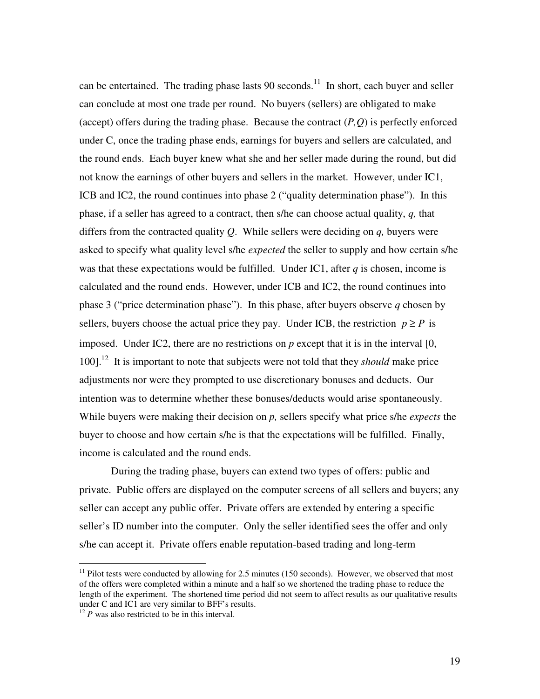can be entertained. The trading phase lasts 90 seconds. $11$  In short, each buyer and seller can conclude at most one trade per round. No buyers (sellers) are obligated to make (accept) offers during the trading phase. Because the contract  $(P,Q)$  is perfectly enforced under C, once the trading phase ends, earnings for buyers and sellers are calculated, and the round ends. Each buyer knew what she and her seller made during the round, but did not know the earnings of other buyers and sellers in the market. However, under IC1, ICB and IC2, the round continues into phase 2 ("quality determination phase"). In this phase, if a seller has agreed to a contract, then s/he can choose actual quality, *q,* that differs from the contracted quality *Q*. While sellers were deciding on *q,* buyers were asked to specify what quality level s/he *expected* the seller to supply and how certain s/he was that these expectations would be fulfilled. Under IC1, after *q* is chosen, income is calculated and the round ends. However, under ICB and IC2, the round continues into phase 3 ("price determination phase"). In this phase, after buyers observe *q* chosen by sellers, buyers choose the actual price they pay. Under ICB, the restriction  $p \ge P$  is imposed. Under IC2, there are no restrictions on  $p$  except that it is in the interval  $[0, 1]$ 100]. 12 It is important to note that subjects were not told that they *should* make price adjustments nor were they prompted to use discretionary bonuses and deducts. Our intention was to determine whether these bonuses/deducts would arise spontaneously. While buyers were making their decision on *p,* sellers specify what price s/he *expects* the buyer to choose and how certain s/he is that the expectations will be fulfilled. Finally, income is calculated and the round ends.

During the trading phase, buyers can extend two types of offers: public and private. Public offers are displayed on the computer screens of all sellers and buyers; any seller can accept any public offer. Private offers are extended by entering a specific seller's ID number into the computer. Only the seller identified sees the offer and only s/he can accept it. Private offers enable reputation-based trading and long-term

 $11$  Pilot tests were conducted by allowing for 2.5 minutes (150 seconds). However, we observed that most of the offers were completed within a minute and a half so we shortened the trading phase to reduce the length of the experiment. The shortened time period did not seem to affect results as our qualitative results under C and IC1 are very similar to BFF's results.

 $12$  *P* was also restricted to be in this interval.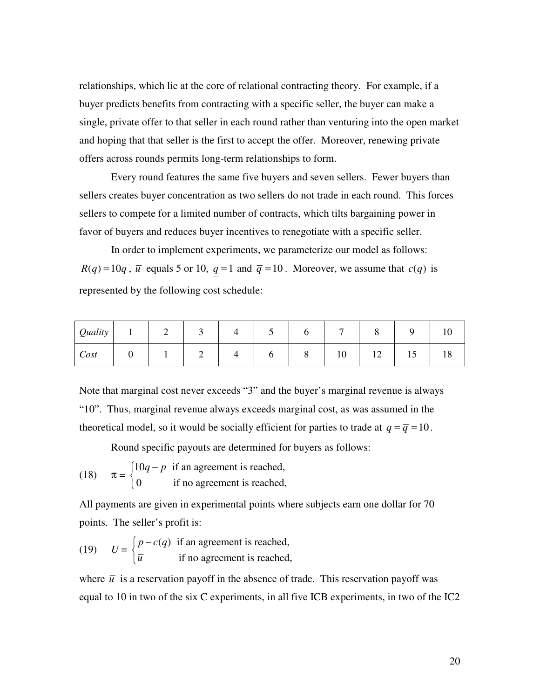relationships, which lie at the core of relational contracting theory. For example, if a buyer predicts benefits from contracting with a specific seller, the buyer can make a single, private offer to that seller in each round rather than venturing into the open market and hoping that that seller is the first to accept the offer. Moreover, renewing private offers across rounds permits long-term relationships to form.

Every round features the same five buyers and seven sellers. Fewer buyers than sellers creates buyer concentration as two sellers do not trade in each round. This forces sellers to compete for a limited number of contracts, which tilts bargaining power in favor of buyers and reduces buyer incentives to renegotiate with a specific seller.

In order to implement experiments, we parameterize our model as follows:  $R(q) = 10q$ ,  $\overline{u}$  equals 5 or 10,  $q = 1$  and  $\overline{q} = 10$ . Moreover, we assume that  $c(q)$  is represented by the following cost schedule:

| <i>Quality</i> |   | ∼ | ັ | ັ |   | $\overline{ }$ | u                       |    |    |
|----------------|---|---|---|---|---|----------------|-------------------------|----|----|
| Cost           | υ |   | ∼ | ບ | O | 10             | $1^{\wedge}$<br>$\perp$ | 12 | 10 |

Note that marginal cost never exceeds "3" and the buyer's marginal revenue is always "10". Thus, marginal revenue always exceeds marginal cost, as was assumed in the theoretical model, so it would be socially efficient for parties to trade at  $q = \overline{q} = 10$ .

Round specific payouts are determined for buyers as follows:

(18) 
$$
\pi = \begin{cases} 10q - p & \text{if an agreement is reached,} \\ 0 & \text{if no agreement is reached,} \end{cases}
$$

All payments are given in experimental points where subjects earn one dollar for 70 points. The seller's profit is:

(19) 
$$
U = \begin{cases} p - c(q) & \text{if an agreement is reached,} \\ \overline{u} & \text{if no agreement is reached,} \end{cases}
$$

where  $\bar{u}$  is a reservation payoff in the absence of trade. This reservation payoff was equal to 10 in two of the six C experiments, in all five ICB experiments, in two of the IC2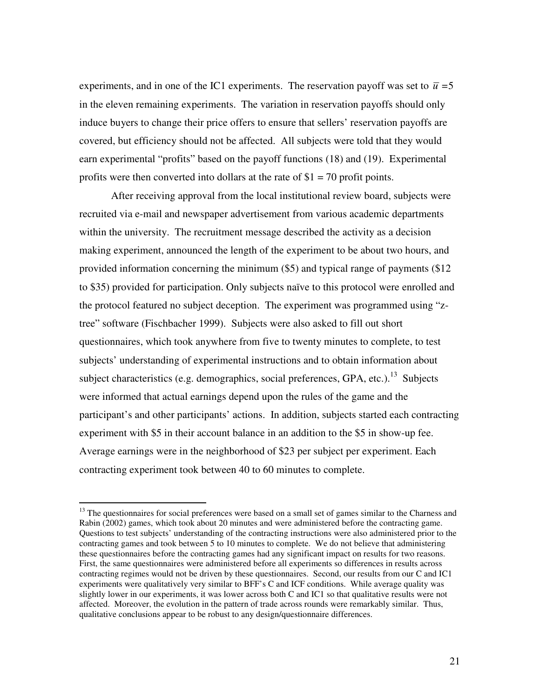experiments, and in one of the IC1 experiments. The reservation payoff was set to  $\bar{u} = 5$ in the eleven remaining experiments. The variation in reservation payoffs should only induce buyers to change their price offers to ensure that sellers' reservation payoffs are covered, but efficiency should not be affected. All subjects were told that they would earn experimental "profits" based on the payoff functions (18) and (19). Experimental profits were then converted into dollars at the rate of  $$1 = 70$  profit points.

After receiving approval from the local institutional review board, subjects were recruited via e-mail and newspaper advertisement from various academic departments within the university. The recruitment message described the activity as a decision making experiment, announced the length of the experiment to be about two hours, and provided information concerning the minimum (\$5) and typical range of payments (\$12 to \$35) provided for participation. Only subjects naïve to this protocol were enrolled and the protocol featured no subject deception. The experiment was programmed using "ztree" software (Fischbacher 1999). Subjects were also asked to fill out short questionnaires, which took anywhere from five to twenty minutes to complete, to test subjects' understanding of experimental instructions and to obtain information about subject characteristics (e.g. demographics, social preferences, GPA, etc.).<sup>13</sup> Subjects were informed that actual earnings depend upon the rules of the game and the participant's and other participants' actions. In addition, subjects started each contracting experiment with \$5 in their account balance in an addition to the \$5 in show-up fee. Average earnings were in the neighborhood of \$23 per subject per experiment. Each contracting experiment took between 40 to 60 minutes to complete.

<sup>&</sup>lt;sup>13</sup> The questionnaires for social preferences were based on a small set of games similar to the Charness and Rabin (2002) games, which took about 20 minutes and were administered before the contracting game. Questions to test subjects' understanding of the contracting instructions were also administered prior to the contracting games and took between 5 to 10 minutes to complete. We do not believe that administering these questionnaires before the contracting games had any significant impact on results for two reasons. First, the same questionnaires were administered before all experiments so differences in results across contracting regimes would not be driven by these questionnaires. Second, our results from our C and IC1 experiments were qualitatively very similar to BFF's C and ICF conditions. While average quality was slightly lower in our experiments, it was lower across both C and IC1 so that qualitative results were not affected. Moreover, the evolution in the pattern of trade across rounds were remarkably similar. Thus, qualitative conclusions appear to be robust to any design/questionnaire differences.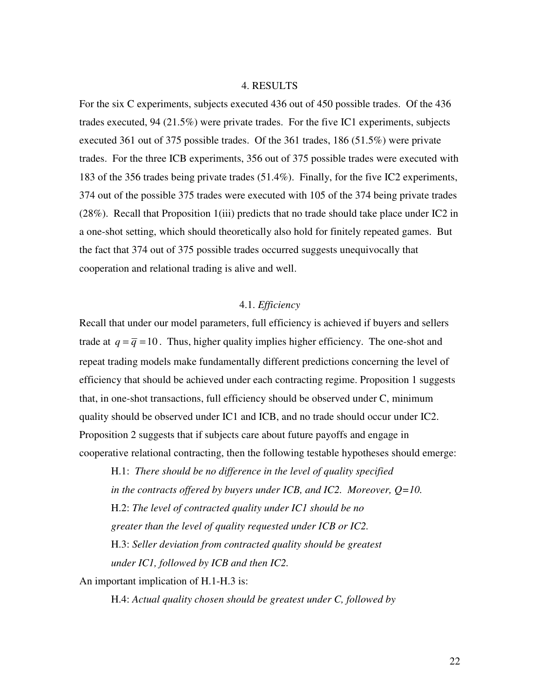#### 4. RESULTS

For the six C experiments, subjects executed 436 out of 450 possible trades. Of the 436 trades executed, 94 (21.5%) were private trades. For the five IC1 experiments, subjects executed 361 out of 375 possible trades. Of the 361 trades, 186 (51.5%) were private trades. For the three ICB experiments, 356 out of 375 possible trades were executed with 183 of the 356 trades being private trades (51.4%). Finally, for the five IC2 experiments, 374 out of the possible 375 trades were executed with 105 of the 374 being private trades (28%). Recall that Proposition 1(iii) predicts that no trade should take place under IC2 in a one-shot setting, which should theoretically also hold for finitely repeated games. But the fact that 374 out of 375 possible trades occurred suggests unequivocally that cooperation and relational trading is alive and well.

## 4.1. *Efficiency*

Recall that under our model parameters, full efficiency is achieved if buyers and sellers trade at  $q = \overline{q} = 10$ . Thus, higher quality implies higher efficiency. The one-shot and repeat trading models make fundamentally different predictions concerning the level of efficiency that should be achieved under each contracting regime. Proposition 1 suggests that, in one-shot transactions, full efficiency should be observed under C, minimum quality should be observed under IC1 and ICB, and no trade should occur under IC2. Proposition 2 suggests that if subjects care about future payoffs and engage in cooperative relational contracting, then the following testable hypotheses should emerge:

H.1: *There should be no difference in the level of quality specified in the contracts offered by buyers under ICB, and IC2. Moreover, Q=10.* H.2: *The level of contracted quality under IC1 should be no greater than the level of quality requested under ICB or IC2.* H.3: *Seller deviation from contracted quality should be greatest under IC1, followed by ICB and then IC2.*

An important implication of H.1-H.3 is:

H.4: *Actual quality chosen should be greatest under C, followed by*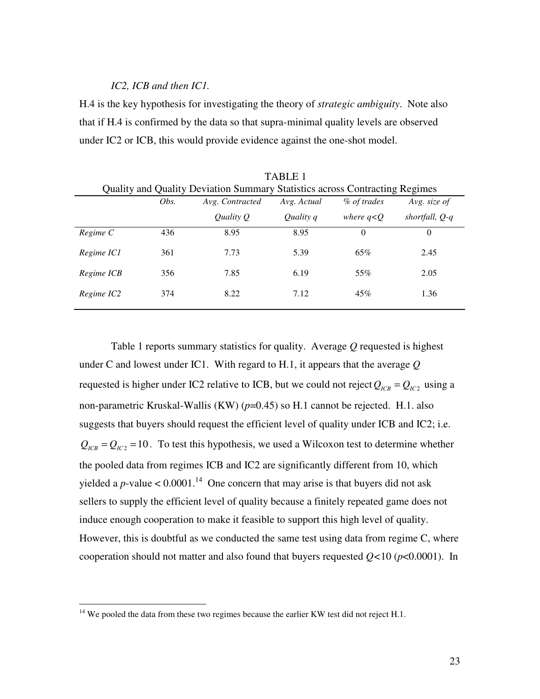### *IC2, ICB and then IC1.*

H.4 is the key hypothesis for investigating the theory of *strategic ambiguity*. Note also that if H.4 is confirmed by the data so that supra-minimal quality levels are observed under IC2 or ICB, this would provide evidence against the one-shot model.

|            | 17 N D D D T<br>Quality and Quality Deviation Summary Statistics across Contracting Regimes |                 |             |              |                |  |
|------------|---------------------------------------------------------------------------------------------|-----------------|-------------|--------------|----------------|--|
|            | Obs.                                                                                        | Avg. Contracted | Avg. Actual | % of trades  | Avg. size of   |  |
|            |                                                                                             | Quality Q       | Quality q   | where $q< Q$ | shortfall, Q-q |  |
| Regime C   | 436                                                                                         | 8.95            | 8.95        | $\Omega$     | $\overline{0}$ |  |
| Regime IC1 | 361                                                                                         | 7.73            | 5.39        | 65%          | 2.45           |  |
| Regime ICB | 356                                                                                         | 7.85            | 6.19        | 55%          | 2.05           |  |
| Regime IC2 | 374                                                                                         | 8.22            | 7.12        | 45%          | 1.36           |  |

TABLE 1

Table 1 reports summary statistics for quality. Average *Q* requested is highest under C and lowest under IC1. With regard to H.1, it appears that the average *Q* requested is higher under IC2 relative to ICB, but we could not reject  $Q_{_{ICB}} = Q_{_{IC2}}$  using a non-parametric Kruskal-Wallis (KW) (*p*=0.45) so H.1 cannot be rejected. H.1. also suggests that buyers should request the efficient level of quality under ICB and IC2; i.e.  $Q_{ICB} = Q_{IC2} = 10$ . To test this hypothesis, we used a Wilcoxon test to determine whether the pooled data from regimes ICB and IC2 are significantly different from 10, which yielded a *p*-value  $< 0.0001$ .<sup>14</sup> One concern that may arise is that buyers did not ask sellers to supply the efficient level of quality because a finitely repeated game does not induce enough cooperation to make it feasible to support this high level of quality. However, this is doubtful as we conducted the same test using data from regime C, where cooperation should not matter and also found that buyers requested *Q<*10 (*p*<0.0001). In

 $14$  We pooled the data from these two regimes because the earlier KW test did not reject H.1.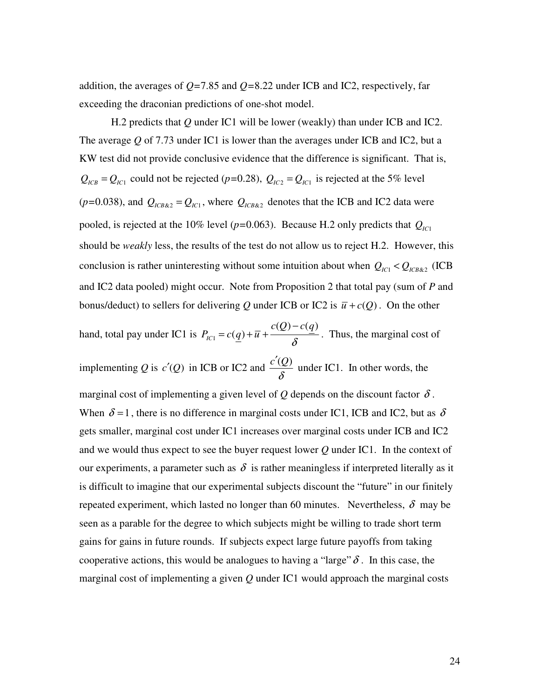addition, the averages of *Q=*7.85 and *Q=*8.22 under ICB and IC2, respectively, far exceeding the draconian predictions of one-shot model.

H.2 predicts that *Q* under IC1 will be lower (weakly) than under ICB and IC2. The average *Q* of 7.73 under IC1 is lower than the averages under ICB and IC2, but a KW test did not provide conclusive evidence that the difference is significant. That is,  $Q_{ICB} = Q_{IC1}$  could not be rejected (*p*=0.28),  $Q_{IC2} = Q_{IC1}$  is rejected at the 5% level  $(p=0.038)$ , and  $Q_{ICB&2} = Q_{IC1}$ , where  $Q_{ICB&2}$  denotes that the ICB and IC2 data were pooled, is rejected at the 10% level ( $p=0.063$ ). Because H.2 only predicts that  $Q_{IC1}$ should be *weakly* less, the results of the test do not allow us to reject H.2. However, this conclusion is rather uninteresting without some intuition about when  $Q_{IC1} < Q_{ICB\&2}$  (ICB and IC2 data pooled) might occur. Note from Proposition 2 that total pay (sum of *P* and bonus/deduct) to sellers for delivering Q under ICB or IC2 is  $\bar{u} + c(Q)$ . On the other

hand, total pay under IC1 is  $P_{\text{IC1}}$  $(Q)-c(q)$  $C_{IC1} = c(q)$  $c(Q) - c(q)$  $P_{IC1} = c(q) + \overline{u} + \frac{\overline{u} \cdot \overline{v}}{\delta}$ −  $= c(q) + \overline{u} + \frac{2\overline{u} + \overline{u} + \overline{u} + \overline{u} + \overline{u} + \overline{u}}{s}$ . Thus, the marginal cost of implementing *Q* is *c*'(*Q*) in ICB or IC2 and  $\frac{c'(Q)}{c}$ δ ′ under IC1. In other words, the marginal cost of implementing a given level of  $Q$  depends on the discount factor  $\delta$ . When  $\delta = 1$ , there is no difference in marginal costs under IC1, ICB and IC2, but as  $\delta$ gets smaller, marginal cost under IC1 increases over marginal costs under ICB and IC2 and we would thus expect to see the buyer request lower *Q* under IC1. In the context of our experiments, a parameter such as  $\delta$  is rather meaningless if interpreted literally as it is difficult to imagine that our experimental subjects discount the "future" in our finitely repeated experiment, which lasted no longer than 60 minutes. Nevertheless,  $\delta$  may be seen as a parable for the degree to which subjects might be willing to trade short term gains for gains in future rounds. If subjects expect large future payoffs from taking cooperative actions, this would be analogues to having a "large"  $\delta$ . In this case, the marginal cost of implementing a given *Q* under IC1 would approach the marginal costs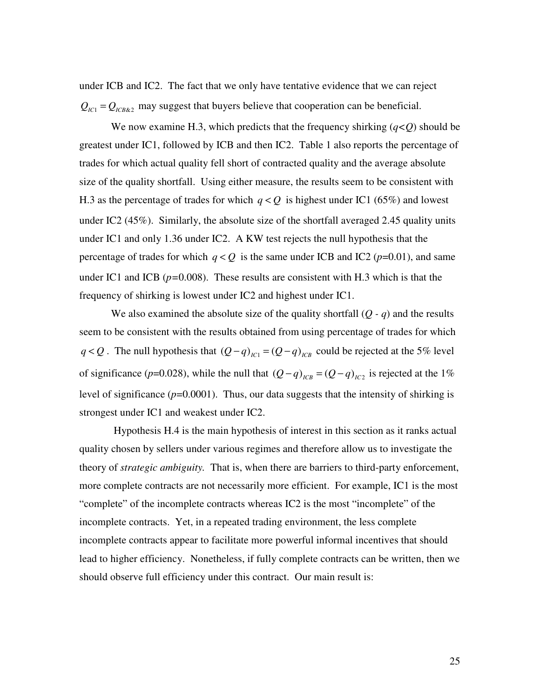under ICB and IC2. The fact that we only have tentative evidence that we can reject  $Q_{IC1} = Q_{ICB,82}$  may suggest that buyers believe that cooperation can be beneficial.

We now examine H.3, which predicts that the frequency shirking  $(q<\rho)$  should be greatest under IC1, followed by ICB and then IC2. Table 1 also reports the percentage of trades for which actual quality fell short of contracted quality and the average absolute size of the quality shortfall. Using either measure, the results seem to be consistent with H.3 as the percentage of trades for which  $q < Q$  is highest under IC1 (65%) and lowest under IC2 (45%). Similarly, the absolute size of the shortfall averaged 2.45 quality units under IC1 and only 1.36 under IC2. A KW test rejects the null hypothesis that the percentage of trades for which  $q < Q$  is the same under ICB and IC2 ( $p=0.01$ ), and same under IC1 and ICB (*p=*0.008). These results are consistent with H.3 which is that the frequency of shirking is lowest under IC2 and highest under IC1.

We also examined the absolute size of the quality shortfall  $(Q - q)$  and the results seem to be consistent with the results obtained from using percentage of trades for which *q* < *Q* . The null hypothesis that  $(Q - q)_{I \text{Cl}} = (Q - q)_{I \text{CR}}$  could be rejected at the 5% level of significance ( $p=0.028$ ), while the null that  $(Q-q)_{lCB} = (Q-q)_{lC2}$  is rejected at the 1% level of significance  $(p=0.0001)$ . Thus, our data suggests that the intensity of shirking is strongest under IC1 and weakest under IC2.

Hypothesis H.4 is the main hypothesis of interest in this section as it ranks actual quality chosen by sellers under various regimes and therefore allow us to investigate the theory of *strategic ambiguity.* That is, when there are barriers to third-party enforcement, more complete contracts are not necessarily more efficient. For example, IC1 is the most "complete" of the incomplete contracts whereas IC2 is the most "incomplete" of the incomplete contracts. Yet, in a repeated trading environment, the less complete incomplete contracts appear to facilitate more powerful informal incentives that should lead to higher efficiency. Nonetheless, if fully complete contracts can be written, then we should observe full efficiency under this contract. Our main result is: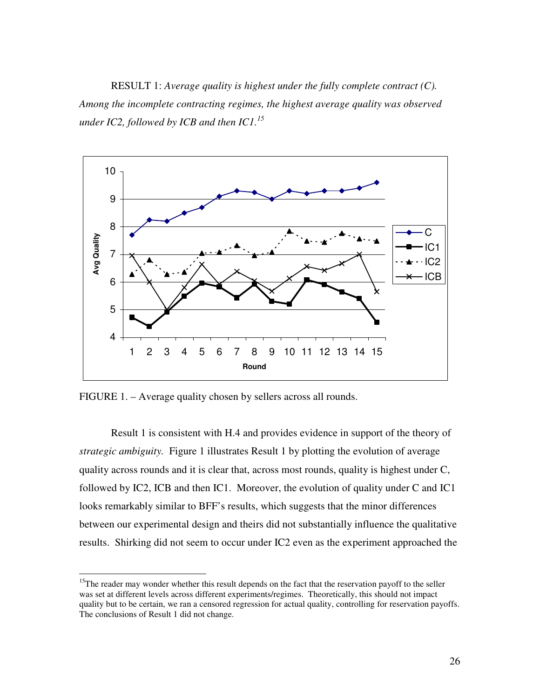RESULT 1: *Average quality is highest under the fully complete contract (C). Among the incomplete contracting regimes, the highest average quality was observed under IC2, followed by ICB and then IC1. 15*



FIGURE 1. – Average quality chosen by sellers across all rounds.

Result 1 is consistent with H.4 and provides evidence in support of the theory of *strategic ambiguity.* Figure 1 illustrates Result 1 by plotting the evolution of average quality across rounds and it is clear that, across most rounds, quality is highest under C, followed by IC2, ICB and then IC1. Moreover, the evolution of quality under C and IC1 looks remarkably similar to BFF's results, which suggests that the minor differences between our experimental design and theirs did not substantially influence the qualitative results. Shirking did not seem to occur under IC2 even as the experiment approached the

<sup>&</sup>lt;sup>15</sup>The reader may wonder whether this result depends on the fact that the reservation payoff to the seller was set at different levels across different experiments/regimes. Theoretically, this should not impact quality but to be certain, we ran a censored regression for actual quality, controlling for reservation payoffs. The conclusions of Result 1 did not change.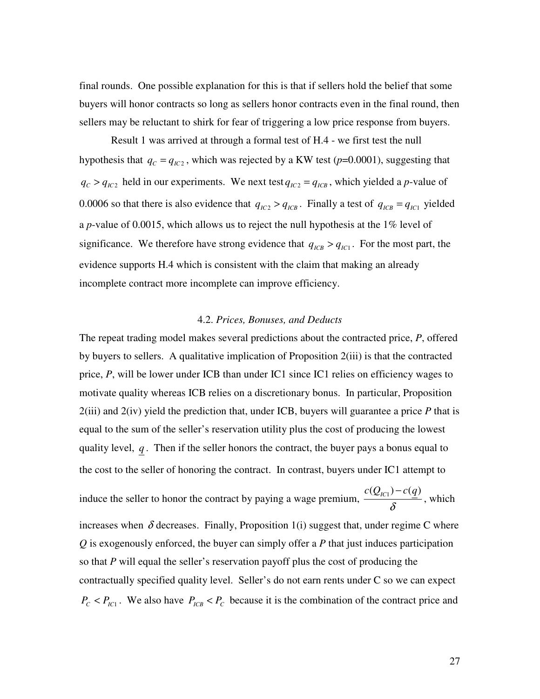final rounds. One possible explanation for this is that if sellers hold the belief that some buyers will honor contracts so long as sellers honor contracts even in the final round, then sellers may be reluctant to shirk for fear of triggering a low price response from buyers.

Result 1 was arrived at through a formal test of H.4 - we first test the null hypothesis that  $q_c = q_{\text{IC2}}$ , which was rejected by a KW test ( $p=0.0001$ ), suggesting that  $q_c > q_{l c_2}$  held in our experiments. We next test  $q_{l c_2} = q_{l c B}$ , which yielded a *p*-value of 0.0006 so that there is also evidence that  $q_{IC2} > q_{ICB}$ . Finally a test of  $q_{ICB} = q_{IC1}$  yielded a *p*-value of 0.0015, which allows us to reject the null hypothesis at the 1% level of significance. We therefore have strong evidence that  $q_{ICB} > q_{IC1}$ . For the most part, the evidence supports H.4 which is consistent with the claim that making an already incomplete contract more incomplete can improve efficiency.

### 4.2. *Prices, Bonuses, and Deducts*

The repeat trading model makes several predictions about the contracted price, *P*, offered by buyers to sellers. A qualitative implication of Proposition 2(iii) is that the contracted price, *P*, will be lower under ICB than under IC1 since IC1 relies on efficiency wages to motivate quality whereas ICB relies on a discretionary bonus. In particular, Proposition 2(iii) and 2(iv) yield the prediction that, under ICB, buyers will guarantee a price *P* that is equal to the sum of the seller's reservation utility plus the cost of producing the lowest quality level, *q* . Then if the seller honors the contract, the buyer pays a bonus equal to the cost to the seller of honoring the contract. In contrast, buyers under IC1 attempt to induce the seller to honor the contract by paying a wage premium,  $\frac{c(Q_{IC1}) - c(q)}{g}$ δ − , which increases when  $\delta$  decreases. Finally, Proposition 1(i) suggest that, under regime C where *Q* is exogenously enforced, the buyer can simply offer a *P* that just induces participation so that *P* will equal the seller's reservation payoff plus the cost of producing the contractually specified quality level. Seller's do not earn rents under C so we can expect  $P_c < P_{IC1}$ . We also have  $P_{ICB} < P_c$  because it is the combination of the contract price and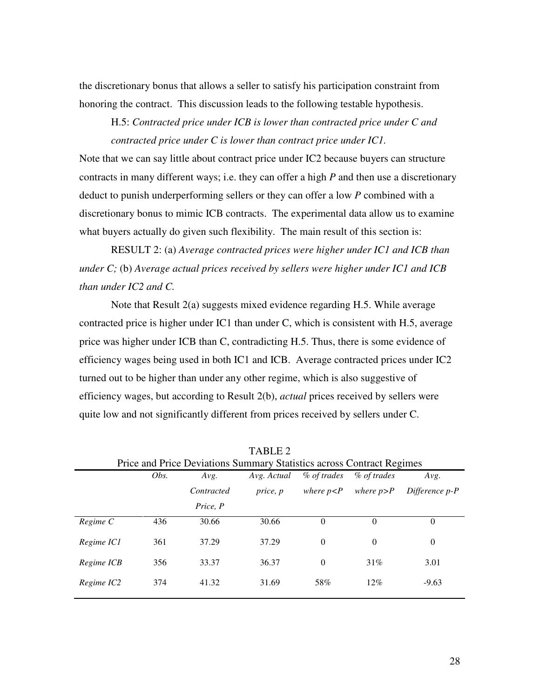the discretionary bonus that allows a seller to satisfy his participation constraint from honoring the contract. This discussion leads to the following testable hypothesis.

H.5: *Contracted price under ICB is lower than contracted price under C and contracted price under C is lower than contract price under IC1.*

Note that we can say little about contract price under IC2 because buyers can structure contracts in many different ways; i.e. they can offer a high *P* and then use a discretionary deduct to punish underperforming sellers or they can offer a low *P* combined with a discretionary bonus to mimic ICB contracts. The experimental data allow us to examine what buyers actually do given such flexibility. The main result of this section is:

RESULT 2: (a) *Average contracted prices were higher under IC1 and ICB than under C;* (b) *Average actual prices received by sellers were higher under IC1 and ICB than under IC2 and C.*

Note that Result 2(a) suggests mixed evidence regarding H.5. While average contracted price is higher under IC1 than under C, which is consistent with H.5, average price was higher under ICB than C, contradicting H.5. Thus, there is some evidence of efficiency wages being used in both IC1 and ICB. Average contracted prices under IC2 turned out to be higher than under any other regime, which is also suggestive of efficiency wages, but according to Result 2(b), *actual* prices received by sellers were quite low and not significantly different from prices received by sellers under C.

| Price and Price Deviations Summary Statistics across Contract Regimes |      |            |             |               |               |                |
|-----------------------------------------------------------------------|------|------------|-------------|---------------|---------------|----------------|
|                                                                       | Obs. | Avg.       | Avg. Actual | % of trades   | % of trades   | Avg.           |
|                                                                       |      | Contracted | price, p    | where $p < P$ | where $p > P$ | Difference p-P |
|                                                                       |      | Price, P   |             |               |               |                |
| Regime C                                                              | 436  | 30.66      | 30.66       | $\Omega$      | $\Omega$      | $\Omega$       |
| Regime IC1                                                            | 361  | 37.29      | 37.29       | $\Omega$      | $\theta$      | $\theta$       |
| Regime ICB                                                            | 356  | 33.37      | 36.37       | $\Omega$      | 31%           | 3.01           |
| Regime IC2                                                            | 374  | 41.32      | 31.69       | 58%           | 12%           | $-9.63$        |

TABLE 2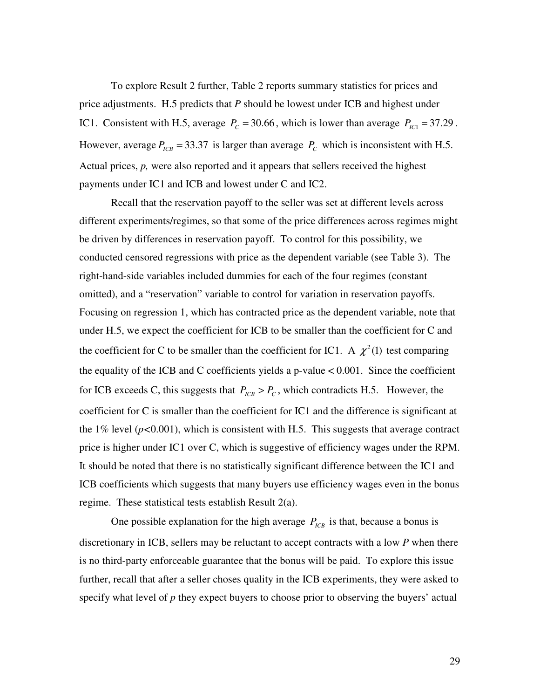To explore Result 2 further, Table 2 reports summary statistics for prices and price adjustments. H.5 predicts that *P* should be lowest under ICB and highest under IC1. Consistent with H.5, average  $P_c = 30.66$ , which is lower than average  $P_{IC1} = 37.29$ . However, average  $P_{ICB} = 33.37$  is larger than average  $P_C$  which is inconsistent with H.5. Actual prices, *p,* were also reported and it appears that sellers received the highest payments under IC1 and ICB and lowest under C and IC2.

Recall that the reservation payoff to the seller was set at different levels across different experiments/regimes, so that some of the price differences across regimes might be driven by differences in reservation payoff. To control for this possibility, we conducted censored regressions with price as the dependent variable (see Table 3). The right-hand-side variables included dummies for each of the four regimes (constant omitted), and a "reservation" variable to control for variation in reservation payoffs. Focusing on regression 1, which has contracted price as the dependent variable, note that under H.5, we expect the coefficient for ICB to be smaller than the coefficient for C and the coefficient for C to be smaller than the coefficient for IC1. A  $\chi^2(1)$  test comparing the equality of the ICB and C coefficients yields a p-value  $\lt 0.001$ . Since the coefficient for ICB exceeds C, this suggests that  $P_{ICB} > P_C$ , which contradicts H.5. However, the coefficient for C is smaller than the coefficient for IC1 and the difference is significant at the  $1\%$  level ( $p < 0.001$ ), which is consistent with H.5. This suggests that average contract price is higher under IC1 over C, which is suggestive of efficiency wages under the RPM. It should be noted that there is no statistically significant difference between the IC1 and ICB coefficients which suggests that many buyers use efficiency wages even in the bonus regime. These statistical tests establish Result 2(a).

One possible explanation for the high average  $P_{ICB}$  is that, because a bonus is discretionary in ICB, sellers may be reluctant to accept contracts with a low *P* when there is no third-party enforceable guarantee that the bonus will be paid. To explore this issue further, recall that after a seller choses quality in the ICB experiments, they were asked to specify what level of *p* they expect buyers to choose prior to observing the buyers' actual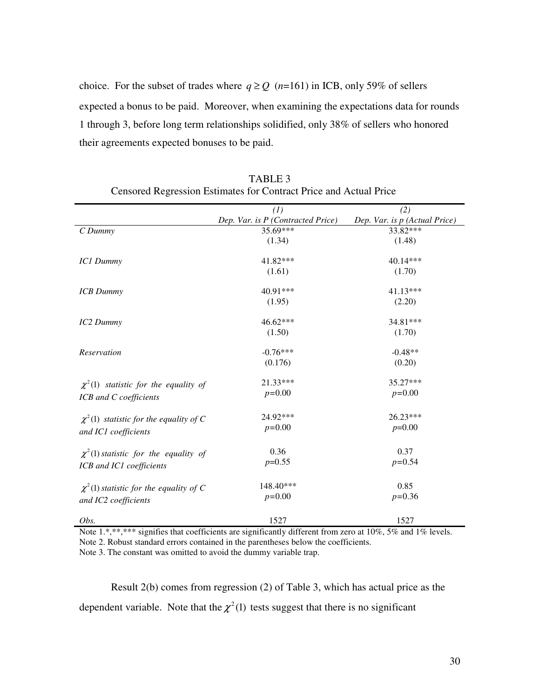choice. For the subset of trades where  $q \ge Q$  (*n*=161) in ICB, only 59% of sellers expected a bonus to be paid. Moreover, when examining the expectations data for rounds 1 through 3, before long term relationships solidified, only 38% of sellers who honored their agreements expected bonuses to be paid.

|                                             | (1)                               | (2)                           |
|---------------------------------------------|-----------------------------------|-------------------------------|
|                                             | Dep. Var. is P (Contracted Price) | Dep. Var. is p (Actual Price) |
| CD <i>ummy</i>                              | $35.69***$                        | 33.82***                      |
|                                             | (1.34)                            | (1.48)                        |
| <b>IC1 Dummy</b>                            | 41.82***                          | 40.14***                      |
|                                             | (1.61)                            | (1.70)                        |
| <b>ICB</b> Dummy                            | $40.91***$                        | $41.13***$                    |
|                                             | (1.95)                            | (2.20)                        |
| IC2 Dummy                                   | 46.62***                          | 34.81***                      |
|                                             | (1.50)                            | (1.70)                        |
|                                             | $-0.76***$                        | $-0.48**$                     |
| Reservation                                 | (0.176)                           | (0.20)                        |
|                                             |                                   |                               |
| $\chi^2(1)$ statistic for the equality of   | 21.33***                          | 35.27***                      |
| ICB and C coefficients                      | $p=0.00$                          | $p=0.00$                      |
| $\chi^2(1)$ statistic for the equality of C | 24.92***                          | 26.23***                      |
| and IC1 coefficients                        | $p=0.00$                          | $p=0.00$                      |
|                                             |                                   |                               |
| $\chi^2(1)$ statistic for the equality of   | 0.36                              | 0.37                          |
| ICB and IC1 coefficients                    | $p=0.55$                          | $p=0.54$                      |
| $\chi^2(1)$ statistic for the equality of C | 148.40***                         | 0.85                          |
| and IC2 coefficients                        | $p=0.00$                          | $p=0.36$                      |
| Obs.                                        | 1527                              | 1527                          |

TABLE 3 Censored Regression Estimates for Contract Price and Actual Price

Note 1.\*,\*\*,\*\*\* signifies that coefficients are significantly different from zero at  $10\%$ , 5% and 1% levels. Note 2. Robust standard errors contained in the parentheses below the coefficients.

Note 3. The constant was omitted to avoid the dummy variable trap.

Result 2(b) comes from regression (2) of Table 3, which has actual price as the dependent variable. Note that the  $\chi^2(1)$  tests suggest that there is no significant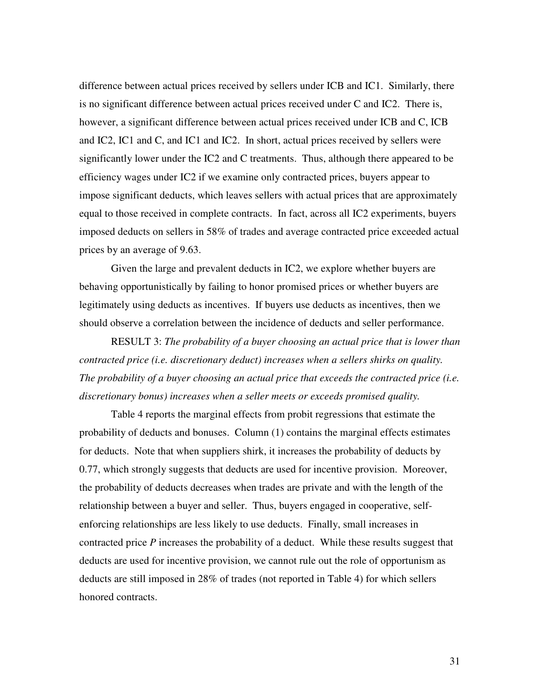difference between actual prices received by sellers under ICB and IC1. Similarly, there is no significant difference between actual prices received under C and IC2. There is, however, a significant difference between actual prices received under ICB and C, ICB and IC2, IC1 and C, and IC1 and IC2. In short, actual prices received by sellers were significantly lower under the IC2 and C treatments. Thus, although there appeared to be efficiency wages under IC2 if we examine only contracted prices, buyers appear to impose significant deducts, which leaves sellers with actual prices that are approximately equal to those received in complete contracts. In fact, across all IC2 experiments, buyers imposed deducts on sellers in 58% of trades and average contracted price exceeded actual prices by an average of 9.63.

Given the large and prevalent deducts in IC2, we explore whether buyers are behaving opportunistically by failing to honor promised prices or whether buyers are legitimately using deducts as incentives. If buyers use deducts as incentives, then we should observe a correlation between the incidence of deducts and seller performance.

RESULT 3: *The probability of a buyer choosing an actual price that is lower than contracted price (i.e. discretionary deduct) increases when a sellers shirks on quality. The probability of a buyer choosing an actual price that exceeds the contracted price (i.e. discretionary bonus) increases when a seller meets or exceeds promised quality.*

Table 4 reports the marginal effects from probit regressions that estimate the probability of deducts and bonuses. Column (1) contains the marginal effects estimates for deducts. Note that when suppliers shirk, it increases the probability of deducts by 0.77, which strongly suggests that deducts are used for incentive provision. Moreover, the probability of deducts decreases when trades are private and with the length of the relationship between a buyer and seller. Thus, buyers engaged in cooperative, selfenforcing relationships are less likely to use deducts. Finally, small increases in contracted price *P* increases the probability of a deduct. While these results suggest that deducts are used for incentive provision, we cannot rule out the role of opportunism as deducts are still imposed in 28% of trades (not reported in Table 4) for which sellers honored contracts.

31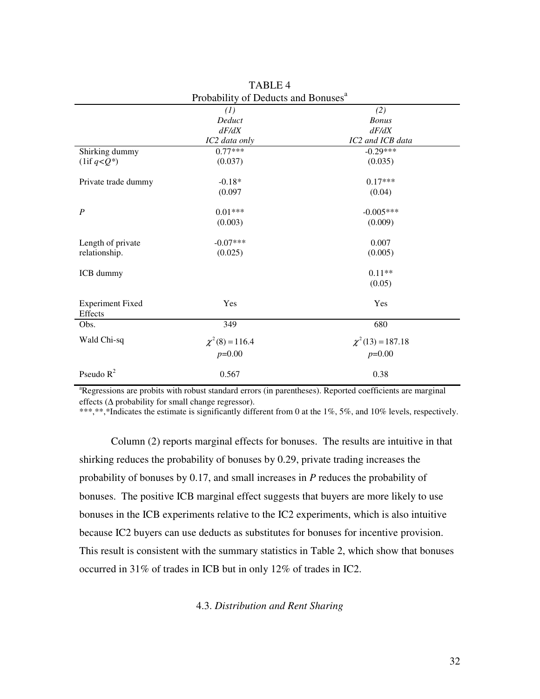|                                    | Probability of Deducts and Bonuses |                       |  |
|------------------------------------|------------------------------------|-----------------------|--|
|                                    | (1)                                | (2)                   |  |
|                                    | Deduct                             | <b>Bonus</b>          |  |
|                                    | dF/dX                              | dF/dX                 |  |
|                                    | IC2 data only                      | IC2 and ICB data      |  |
| Shirking dummy                     | $0.77***$                          | $-0.29***$            |  |
| $(1if q < Q^*)$                    | (0.037)                            | (0.035)               |  |
| Private trade dummy                | $-0.18*$                           | $0.17***$             |  |
|                                    | (0.097)                            | (0.04)                |  |
| $\boldsymbol{P}$                   | $0.01***$                          | $-0.005***$           |  |
|                                    | (0.003)                            | (0.009)               |  |
| Length of private                  | $-0.07***$                         | 0.007                 |  |
| relationship.                      | (0.025)                            | (0.005)               |  |
| ICB dummy                          |                                    | $0.11**$              |  |
|                                    |                                    | (0.05)                |  |
| <b>Experiment Fixed</b><br>Effects | Yes                                | Yes                   |  |
| Obs.                               | 349                                | 680                   |  |
| Wald Chi-sq                        | $\chi^2(8) = 116.4$                | $\chi^2(13) = 187.18$ |  |
|                                    | $p=0.00$                           | $p=0.00$              |  |
| Pseudo $R^2$                       | 0.567                              | 0.38                  |  |

TABLE 4 Probability of Deducts and Bonuses<sup>a</sup>

<sup>a</sup>Regressions are probits with robust standard errors (in parentheses). Reported coefficients are marginal effects (∆ probability for small change regressor).

\*\*\*,\*\*,\*Indicates the estimate is significantly different from 0 at the 1%, 5%, and 10% levels, respectively.

Column (2) reports marginal effects for bonuses. The results are intuitive in that shirking reduces the probability of bonuses by 0.29, private trading increases the probability of bonuses by 0.17, and small increases in *P* reduces the probability of bonuses. The positive ICB marginal effect suggests that buyers are more likely to use bonuses in the ICB experiments relative to the IC2 experiments, which is also intuitive because IC2 buyers can use deducts as substitutes for bonuses for incentive provision. This result is consistent with the summary statistics in Table 2, which show that bonuses occurred in 31% of trades in ICB but in only 12% of trades in IC2.

## 4.3. *Distribution and Rent Sharing*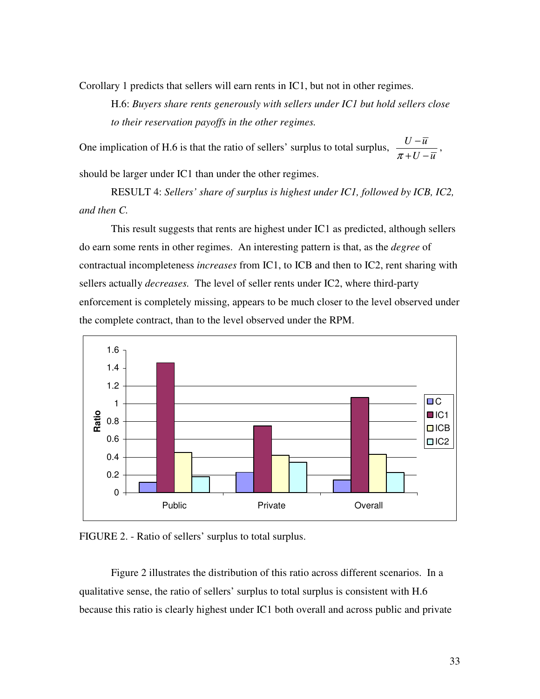Corollary 1 predicts that sellers will earn rents in IC1, but not in other regimes.

H.6: *Buyers share rents generously with sellers under IC1 but hold sellers close to their reservation payoffs in the other regimes.*

One implication of H.6 is that the ratio of sellers' surplus to total surplus,  $\frac{U - \overline{u}}{V}$  $\pi$  + U  $-\bar{u}$ −  $+U -$ ,

should be larger under IC1 than under the other regimes.

RESULT 4: *Sellers' share of surplus is highest under IC1, followed by ICB, IC2, and then C.*

This result suggests that rents are highest under IC1 as predicted, although sellers do earn some rents in other regimes. An interesting pattern is that, as the *degree* of contractual incompleteness *increases* from IC1, to ICB and then to IC2, rent sharing with sellers actually *decreases.* The level of seller rents under IC2, where third-party enforcement is completely missing, appears to be much closer to the level observed under the complete contract, than to the level observed under the RPM.





Figure 2 illustrates the distribution of this ratio across different scenarios. In a qualitative sense, the ratio of sellers' surplus to total surplus is consistent with H.6 because this ratio is clearly highest under IC1 both overall and across public and private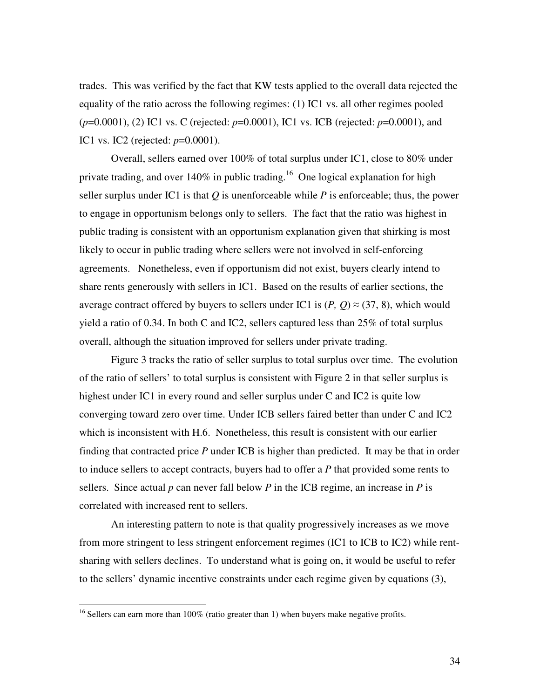trades. This was verified by the fact that KW tests applied to the overall data rejected the equality of the ratio across the following regimes: (1) IC1 vs. all other regimes pooled (*p*=0.0001), (2) IC1 vs. C (rejected: *p*=0.0001), IC1 vs. ICB (rejected: *p*=0.0001), and IC1 vs. IC2 (rejected: *p*=0.0001).

Overall, sellers earned over 100% of total surplus under IC1, close to 80% under private trading, and over 140% in public trading.<sup>16</sup> One logical explanation for high seller surplus under IC1 is that  $Q$  is unenforceable while  $P$  is enforceable; thus, the power to engage in opportunism belongs only to sellers. The fact that the ratio was highest in public trading is consistent with an opportunism explanation given that shirking is most likely to occur in public trading where sellers were not involved in self-enforcing agreements. Nonetheless, even if opportunism did not exist, buyers clearly intend to share rents generously with sellers in IC1. Based on the results of earlier sections, the average contract offered by buyers to sellers under IC1 is  $(P, Q) \approx (37, 8)$ , which would yield a ratio of 0.34. In both C and IC2, sellers captured less than 25% of total surplus overall, although the situation improved for sellers under private trading.

Figure 3 tracks the ratio of seller surplus to total surplus over time. The evolution of the ratio of sellers' to total surplus is consistent with Figure 2 in that seller surplus is highest under IC1 in every round and seller surplus under C and IC2 is quite low converging toward zero over time. Under ICB sellers faired better than under C and IC2 which is inconsistent with H.6. Nonetheless, this result is consistent with our earlier finding that contracted price *P* under ICB is higher than predicted. It may be that in order to induce sellers to accept contracts, buyers had to offer a *P* that provided some rents to sellers. Since actual  $p$  can never fall below  $P$  in the ICB regime, an increase in  $P$  is correlated with increased rent to sellers.

An interesting pattern to note is that quality progressively increases as we move from more stringent to less stringent enforcement regimes (IC1 to ICB to IC2) while rentsharing with sellers declines. To understand what is going on, it would be useful to refer to the sellers' dynamic incentive constraints under each regime given by equations (3),

<sup>&</sup>lt;sup>16</sup> Sellers can earn more than 100% (ratio greater than 1) when buyers make negative profits.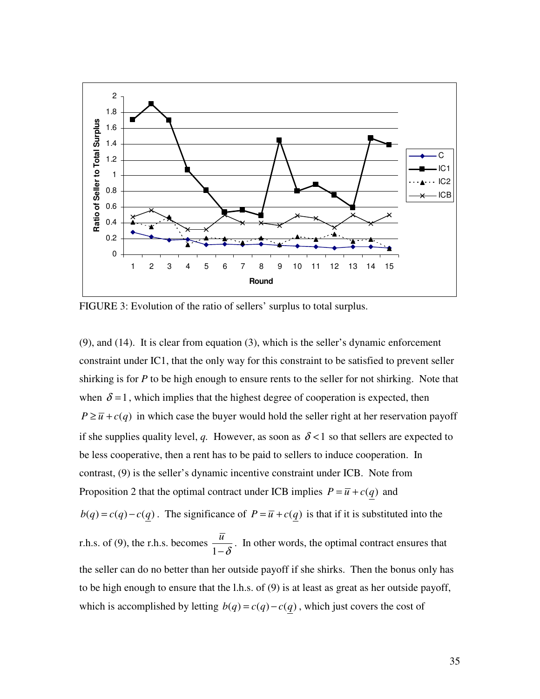

FIGURE 3: Evolution of the ratio of sellers' surplus to total surplus.

(9), and (14). It is clear from equation (3), which is the seller's dynamic enforcement constraint under IC1, that the only way for this constraint to be satisfied to prevent seller shirking is for *P* to be high enough to ensure rents to the seller for not shirking. Note that when  $\delta = 1$ , which implies that the highest degree of cooperation is expected, then  $P \ge \overline{u} + c(q)$  in which case the buyer would hold the seller right at her reservation payoff if she supplies quality level, *q*. However, as soon as  $\delta$  < 1 so that sellers are expected to be less cooperative, then a rent has to be paid to sellers to induce cooperation. In contrast, (9) is the seller's dynamic incentive constraint under ICB. Note from Proposition 2 that the optimal contract under ICB implies  $P = \overline{u} + c(q)$  and *b*(*q*) = *c*(*q*) – *c*(*q*). The significance of *P* =  $\overline{u}$  + *c*(*q*) is that if it is substituted into the r.h.s. of (9), the r.h.s. becomes 1 *u*  $-\delta$ . In other words, the optimal contract ensures that the seller can do no better than her outside payoff if she shirks. Then the bonus only has to be high enough to ensure that the l.h.s. of (9) is at least as great as her outside payoff, which is accomplished by letting  $b(q) = c(q) - c(q)$ , which just covers the cost of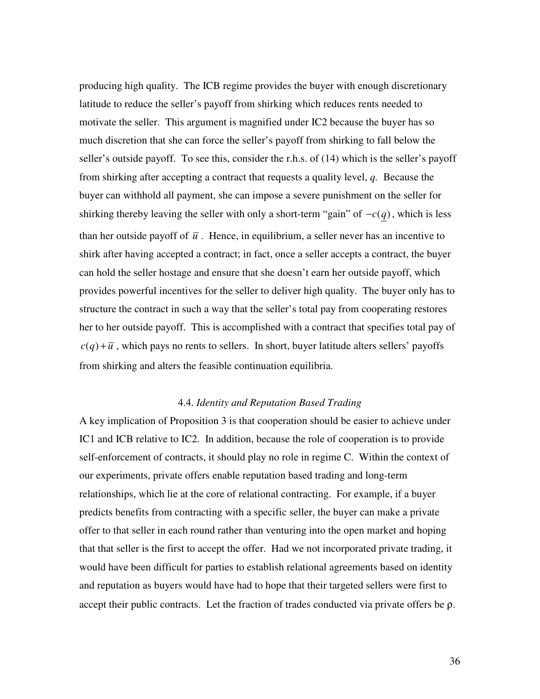producing high quality. The ICB regime provides the buyer with enough discretionary latitude to reduce the seller's payoff from shirking which reduces rents needed to motivate the seller. This argument is magnified under IC2 because the buyer has so much discretion that she can force the seller's payoff from shirking to fall below the seller's outside payoff. To see this, consider the r.h.s. of (14) which is the seller's payoff from shirking after accepting a contract that requests a quality level, *q.* Because the buyer can withhold all payment, she can impose a severe punishment on the seller for shirking thereby leaving the seller with only a short-term "gain" of  $-c(q)$ , which is less than her outside payoff of  $\bar{u}$ . Hence, in equilibrium, a seller never has an incentive to shirk after having accepted a contract; in fact, once a seller accepts a contract, the buyer can hold the seller hostage and ensure that she doesn't earn her outside payoff, which provides powerful incentives for the seller to deliver high quality. The buyer only has to structure the contract in such a way that the seller's total pay from cooperating restores her to her outside payoff. This is accomplished with a contract that specifies total pay of  $c(q) + \overline{u}$ , which pays no rents to sellers. In short, buyer latitude alters sellers' payoffs from shirking and alters the feasible continuation equilibria.

## 4.4. *Identity and Reputation Based Trading*

A key implication of Proposition 3 is that cooperation should be easier to achieve under IC1 and ICB relative to IC2. In addition, because the role of cooperation is to provide self-enforcement of contracts, it should play no role in regime C. Within the context of our experiments, private offers enable reputation based trading and long-term relationships, which lie at the core of relational contracting. For example, if a buyer predicts benefits from contracting with a specific seller, the buyer can make a private offer to that seller in each round rather than venturing into the open market and hoping that that seller is the first to accept the offer. Had we not incorporated private trading, it would have been difficult for parties to establish relational agreements based on identity and reputation as buyers would have had to hope that their targeted sellers were first to accept their public contracts. Let the fraction of trades conducted via private offers be ρ.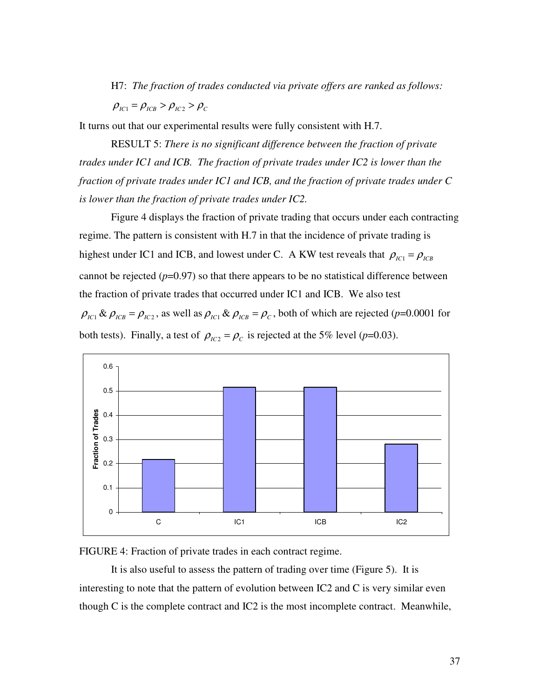H7: *The fraction of trades conducted via private offers are ranked as follows:*

$$
\rho_{\scriptscriptstyle{IC1}} = \rho_{\scriptscriptstyle{ICB}} > \rho_{\scriptscriptstyle{IC2}} > \rho_{\scriptscriptstyle{C}}
$$

It turns out that our experimental results were fully consistent with H.7.

RESULT 5: *There is no significant difference between the fraction of private trades under IC1 and ICB. The fraction of private trades under IC2 is lower than the fraction of private trades under IC1 and ICB, and the fraction of private trades under C is lower than the fraction of private trades under IC2.*

Figure 4 displays the fraction of private trading that occurs under each contracting regime. The pattern is consistent with H.7 in that the incidence of private trading is highest under IC1 and ICB, and lowest under C. A KW test reveals that  $\rho_{IC1} = \rho_{ICB}$ cannot be rejected  $(p=0.97)$  so that there appears to be no statistical difference between the fraction of private trades that occurred under IC1 and ICB. We also test  $\rho_{IC1} \& \rho_{ICB} = \rho_{IC2}$ , as well as  $\rho_{IC1} \& \rho_{ICB} = \rho_C$ , both of which are rejected (*p*=0.0001 for both tests). Finally, a test of  $\rho_{IC2} = \rho_C$  is rejected at the 5% level (*p*=0.03).



FIGURE 4: Fraction of private trades in each contract regime.

It is also useful to assess the pattern of trading over time (Figure 5). It is interesting to note that the pattern of evolution between IC2 and C is very similar even though C is the complete contract and IC2 is the most incomplete contract. Meanwhile,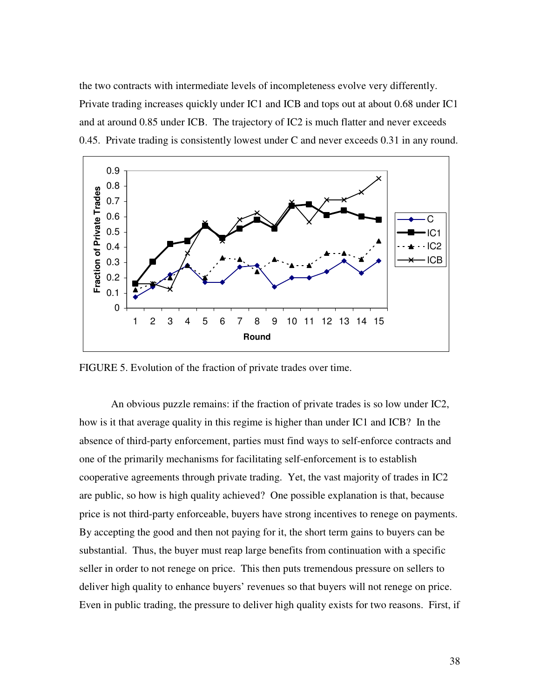the two contracts with intermediate levels of incompleteness evolve very differently. Private trading increases quickly under IC1 and ICB and tops out at about 0.68 under IC1 and at around 0.85 under ICB. The trajectory of IC2 is much flatter and never exceeds 0.45. Private trading is consistently lowest under C and never exceeds 0.31 in any round.



FIGURE 5. Evolution of the fraction of private trades over time.

An obvious puzzle remains: if the fraction of private trades is so low under IC2, how is it that average quality in this regime is higher than under IC1 and ICB? In the absence of third-party enforcement, parties must find ways to self-enforce contracts and one of the primarily mechanisms for facilitating self-enforcement is to establish cooperative agreements through private trading. Yet, the vast majority of trades in IC2 are public, so how is high quality achieved? One possible explanation is that, because price is not third-party enforceable, buyers have strong incentives to renege on payments. By accepting the good and then not paying for it, the short term gains to buyers can be substantial. Thus, the buyer must reap large benefits from continuation with a specific seller in order to not renege on price. This then puts tremendous pressure on sellers to deliver high quality to enhance buyers' revenues so that buyers will not renege on price. Even in public trading, the pressure to deliver high quality exists for two reasons. First, if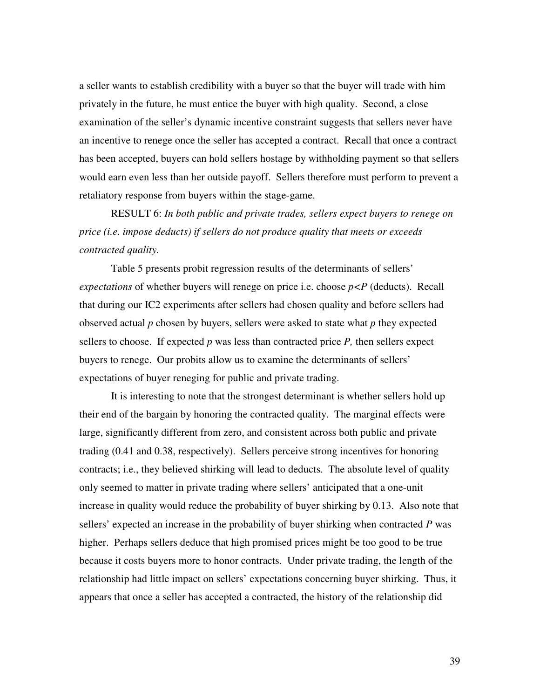a seller wants to establish credibility with a buyer so that the buyer will trade with him privately in the future, he must entice the buyer with high quality. Second, a close examination of the seller's dynamic incentive constraint suggests that sellers never have an incentive to renege once the seller has accepted a contract. Recall that once a contract has been accepted, buyers can hold sellers hostage by withholding payment so that sellers would earn even less than her outside payoff. Sellers therefore must perform to prevent a retaliatory response from buyers within the stage-game.

RESULT 6: *In both public and private trades, sellers expect buyers to renege on price (i.e. impose deducts) if sellers do not produce quality that meets or exceeds contracted quality.*

Table 5 presents probit regression results of the determinants of sellers' *expectations* of whether buyers will renege on price i.e. choose  $p \lt P$  (deducts). Recall that during our IC2 experiments after sellers had chosen quality and before sellers had observed actual *p* chosen by buyers, sellers were asked to state what *p* they expected sellers to choose. If expected  $p$  was less than contracted price  $P$ , then sellers expect buyers to renege. Our probits allow us to examine the determinants of sellers' expectations of buyer reneging for public and private trading.

It is interesting to note that the strongest determinant is whether sellers hold up their end of the bargain by honoring the contracted quality. The marginal effects were large, significantly different from zero, and consistent across both public and private trading (0.41 and 0.38, respectively). Sellers perceive strong incentives for honoring contracts; i.e., they believed shirking will lead to deducts. The absolute level of quality only seemed to matter in private trading where sellers' anticipated that a one-unit increase in quality would reduce the probability of buyer shirking by 0.13. Also note that sellers' expected an increase in the probability of buyer shirking when contracted *P* was higher. Perhaps sellers deduce that high promised prices might be too good to be true because it costs buyers more to honor contracts. Under private trading, the length of the relationship had little impact on sellers' expectations concerning buyer shirking. Thus, it appears that once a seller has accepted a contracted, the history of the relationship did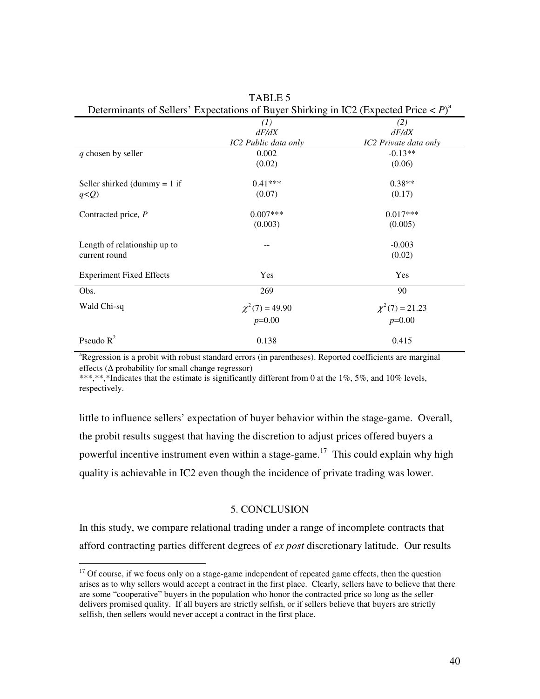| Determinants of Seners Expectations of Buyer Shirking in ICZ (Expected Frice $\langle T \rangle$ ) |                      |                       |  |  |  |
|----------------------------------------------------------------------------------------------------|----------------------|-----------------------|--|--|--|
|                                                                                                    | (1)                  | (2)                   |  |  |  |
|                                                                                                    | dF/dX                | dF/dX                 |  |  |  |
|                                                                                                    | IC2 Public data only | IC2 Private data only |  |  |  |
| q chosen by seller                                                                                 | 0.002                | $-0.13**$             |  |  |  |
|                                                                                                    | (0.02)               | (0.06)                |  |  |  |
| Seller shirked (dummy $= 1$ if                                                                     | $0.41***$            | $0.38**$              |  |  |  |
| $q)$                                                                                               | (0.07)               | (0.17)                |  |  |  |
| Contracted price, P                                                                                | $0.007***$           | $0.017***$            |  |  |  |
|                                                                                                    | (0.003)              | (0.005)               |  |  |  |
| Length of relationship up to                                                                       |                      | $-0.003$              |  |  |  |
| current round                                                                                      |                      | (0.02)                |  |  |  |
| <b>Experiment Fixed Effects</b>                                                                    | Yes                  | Yes                   |  |  |  |
| Obs.                                                                                               | 269                  | 90                    |  |  |  |
| Wald Chi-sq                                                                                        | $\chi^2(7) = 49.90$  | $\chi^2(7) = 21.23$   |  |  |  |
|                                                                                                    | $p=0.00$             | $p=0.00$              |  |  |  |
| Pseudo $R^2$                                                                                       | 0.138                | 0.415                 |  |  |  |

TABLE 5 Determinants of Sellers' Expectations of Buyer Shirking in IC2 (Expected Price < *P*) a

<sup>a</sup>Regression is a probit with robust standard errors (in parentheses). Reported coefficients are marginal effects ( $\Delta$  probability for small change regressor)

\*\*\*,\*\*,\*Indicates that the estimate is significantly different from 0 at the 1%, 5%, and 10% levels, respectively.

little to influence sellers' expectation of buyer behavior within the stage-game. Overall, the probit results suggest that having the discretion to adjust prices offered buyers a powerful incentive instrument even within a stage-game.<sup>17</sup> This could explain why high quality is achievable in IC2 even though the incidence of private trading was lower.

# 5. CONCLUSION

In this study, we compare relational trading under a range of incomplete contracts that afford contracting parties different degrees of *ex post* discretionary latitude. Our results

<sup>&</sup>lt;sup>17</sup> Of course, if we focus only on a stage-game independent of repeated game effects, then the question arises as to why sellers would accept a contract in the first place. Clearly, sellers have to believe that there are some "cooperative" buyers in the population who honor the contracted price so long as the seller delivers promised quality. If all buyers are strictly selfish, or if sellers believe that buyers are strictly selfish, then sellers would never accept a contract in the first place.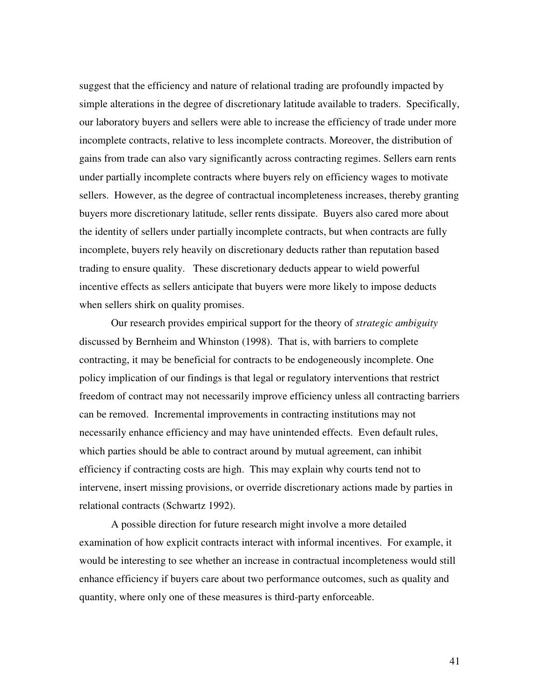suggest that the efficiency and nature of relational trading are profoundly impacted by simple alterations in the degree of discretionary latitude available to traders. Specifically, our laboratory buyers and sellers were able to increase the efficiency of trade under more incomplete contracts, relative to less incomplete contracts. Moreover, the distribution of gains from trade can also vary significantly across contracting regimes. Sellers earn rents under partially incomplete contracts where buyers rely on efficiency wages to motivate sellers. However, as the degree of contractual incompleteness increases, thereby granting buyers more discretionary latitude, seller rents dissipate. Buyers also cared more about the identity of sellers under partially incomplete contracts, but when contracts are fully incomplete, buyers rely heavily on discretionary deducts rather than reputation based trading to ensure quality. These discretionary deducts appear to wield powerful incentive effects as sellers anticipate that buyers were more likely to impose deducts when sellers shirk on quality promises.

Our research provides empirical support for the theory of *strategic ambiguity* discussed by Bernheim and Whinston (1998). That is, with barriers to complete contracting, it may be beneficial for contracts to be endogeneously incomplete. One policy implication of our findings is that legal or regulatory interventions that restrict freedom of contract may not necessarily improve efficiency unless all contracting barriers can be removed. Incremental improvements in contracting institutions may not necessarily enhance efficiency and may have unintended effects. Even default rules, which parties should be able to contract around by mutual agreement, can inhibit efficiency if contracting costs are high. This may explain why courts tend not to intervene, insert missing provisions, or override discretionary actions made by parties in relational contracts (Schwartz 1992).

A possible direction for future research might involve a more detailed examination of how explicit contracts interact with informal incentives. For example, it would be interesting to see whether an increase in contractual incompleteness would still enhance efficiency if buyers care about two performance outcomes, such as quality and quantity, where only one of these measures is third-party enforceable.

41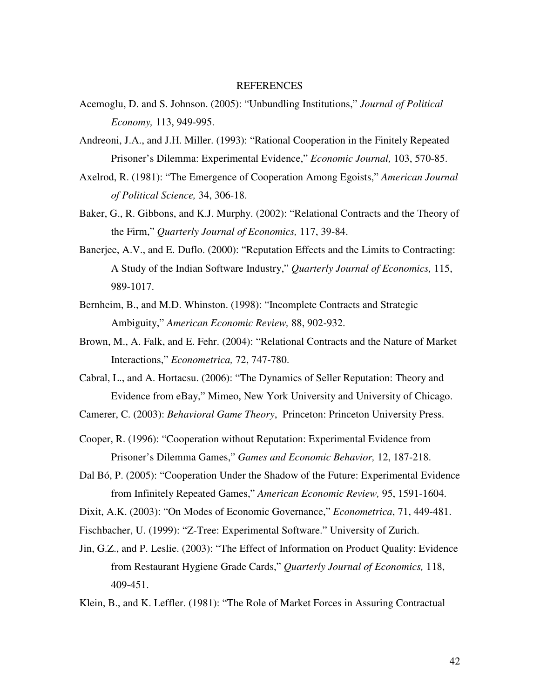#### REFERENCES

- Acemoglu, D. and S. Johnson. (2005): "Unbundling Institutions," *Journal of Political Economy,* 113, 949-995.
- Andreoni, J.A., and J.H. Miller. (1993): "Rational Cooperation in the Finitely Repeated Prisoner's Dilemma: Experimental Evidence," *Economic Journal,* 103, 570-85.
- Axelrod, R. (1981): "The Emergence of Cooperation Among Egoists," *American Journal of Political Science,* 34, 306-18.
- Baker, G., R. Gibbons, and K.J. Murphy. (2002): "Relational Contracts and the Theory of the Firm," *Quarterly Journal of Economics,* 117, 39-84.
- Banerjee, A.V., and E. Duflo. (2000): "Reputation Effects and the Limits to Contracting: A Study of the Indian Software Industry," *Quarterly Journal of Economics,* 115, 989-1017.
- Bernheim, B., and M.D. Whinston. (1998): "Incomplete Contracts and Strategic Ambiguity," *American Economic Review,* 88, 902-932.
- Brown, M., A. Falk, and E. Fehr. (2004): "Relational Contracts and the Nature of Market Interactions," *Econometrica,* 72, 747-780.
- Cabral, L., and A. Hortacsu. (2006): "The Dynamics of Seller Reputation: Theory and Evidence from eBay," Mimeo, New York University and University of Chicago.

Camerer, C. (2003): *Behavioral Game Theory*, Princeton: Princeton University Press.

Cooper, R. (1996): "Cooperation without Reputation: Experimental Evidence from Prisoner's Dilemma Games," *Games and Economic Behavior,* 12, 187-218.

Dal Bó, P. (2005): "Cooperation Under the Shadow of the Future: Experimental Evidence from Infinitely Repeated Games," *American Economic Review,* 95, 1591-1604.

Dixit, A.K. (2003): "On Modes of Economic Governance," *Econometrica*, 71, 449-481.

Fischbacher, U. (1999): "Z-Tree: Experimental Software." University of Zurich.

Jin, G.Z., and P. Leslie. (2003): "The Effect of Information on Product Quality: Evidence from Restaurant Hygiene Grade Cards," *Quarterly Journal of Economics,* 118, 409-451.

Klein, B., and K. Leffler. (1981): "The Role of Market Forces in Assuring Contractual